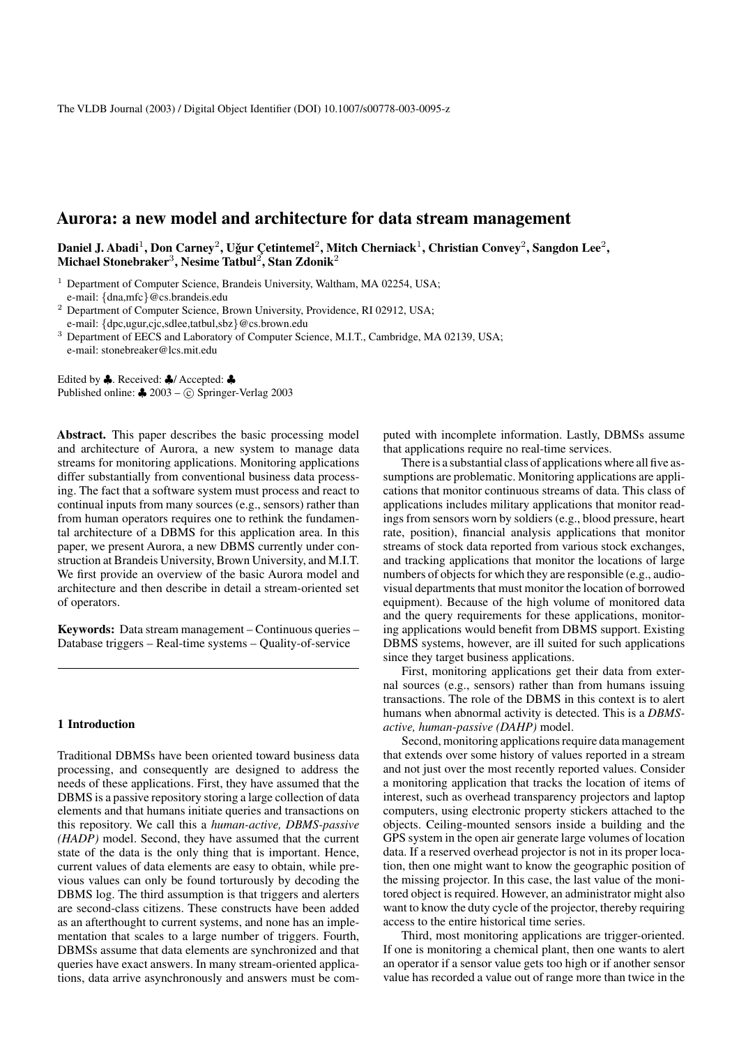# **Aurora: a new model and architecture for data stream management**

**Daniel J. Abadi<sup>1</sup>, Don Carney<sup>2</sup>, Uğur Çetintemel<sup>2</sup>, Mitch Cherniack<sup>1</sup>, Christian Convey<sup>2</sup>, Sangdon Lee<sup>2</sup>, Michael Stonebraker**<sup>3</sup>**, Nesime Tatbul**<sup>2</sup>**, Stan Zdonik**<sup>2</sup>

<sup>1</sup> Department of Computer Science, Brandeis University, Waltham, MA 02254, USA;

e-mail: {dna,mfc}@cs.brandeis.edu <sup>2</sup> Department of Computer Science, Brown University, Providence, RI 02912, USA;

e-mail: {dpc,ugur,cjc,sdlee,tatbul,sbz}@cs.brown.edu 3 Department of EECS and Laboratory of Computer Science, M.I.T., Cambridge, MA 02139, USA; e-mail: stonebreaker@lcs.mit.edu

Edited by ♣.Received: ♣/ Accepted: ♣ Published online:  $\clubsuit 2003 - \circledcirc$  Springer-Verlag 2003

Abstract. This paper describes the basic processing model and architecture of Aurora, a new system to manage data streams for monitoring applications. Monitoring applications differ substantially from conventional business data processing.The fact that a software system must process and react to continual inputs from many sources (e.g., sensors) rather than from human operators requires one to rethink the fundamental architecture of a DBMS for this application area. In this paper, we present Aurora, a new DBMS currently under construction at Brandeis University, Brown University, and M.I.T. We first provide an overview of the basic Aurora model and architecture and then describe in detail a stream-oriented set of operators.

**Keywords:** Data stream management – Continuous queries – Database triggers – Real-time systems – Quality-of-service

## **1 Introduction**

Traditional DBMSs have been oriented toward business data processing, and consequently are designed to address the needs of these applications.First, they have assumed that the DBMS is a passive repository storing a large collection of data elements and that humans initiate queries and transactions on this repository.We call this a *human-active, DBMS-passive* (HADP) model. Second, they have assumed that the current state of the data is the only thing that is important. Hence, current values of data elements are easy to obtain, while previous values can only be found torturously by decoding the DBMS log. The third assumption is that triggers and alerters are second-class citizens.These constructs have been added as an afterthought to current systems, and none has an implementation that scales to a large number of triggers.Fourth, DBMSs assume that data elements are synchronized and that queries have exact answers.In many stream-oriented applications, data arrive asynchronously and answers must be computed with incomplete information.Lastly, DBMSs assume that applications require no real-time services.

There is a substantial class of applications where all five assumptions are problematic. Monitoring applications are applications that monitor continuous streams of data.This class of applications includes military applications that monitor readings from sensors worn by soldiers (e.g., blood pressure, heart rate, position), financial analysis applications that monitor streams of stock data reported from various stock exchanges, and tracking applications that monitor the locations of large numbers of objects for which they are responsible (e.g., audiovisual departments that must monitor the location of borrowed equipment). Because of the high volume of monitored data and the query requirements for these applications, monitoring applications would benefit from DBMS support.Existing DBMS systems, however, are ill suited for such applications since they target business applications.

First, monitoring applications get their data from external sources (e.g., sensors) rather than from humans issuing transactions.The role of the DBMS in this context is to alert humans when abnormal activity is detected.This is a *DBMSactive, human-passive (DAHP)* model.

Second, monitoring applications require data management that extends over some history of values reported in a stream and not just over the most recently reported values.Consider a monitoring application that tracks the location of items of interest, such as overhead transparency projectors and laptop computers, using electronic property stickers attached to the objects.Ceiling-mounted sensors inside a building and the GPS system in the open air generate large volumes of location data.If a reserved overhead projector is not in its proper location, then one might want to know the geographic position of the missing projector.In this case, the last value of the monitored object is required.However, an administrator might also want to know the duty cycle of the projector, thereby requiring access to the entire historical time series.

Third, most monitoring applications are trigger-oriented. If one is monitoring a chemical plant, then one wants to alert an operator if a sensor value gets too high or if another sensor value has recorded a value out of range more than twice in the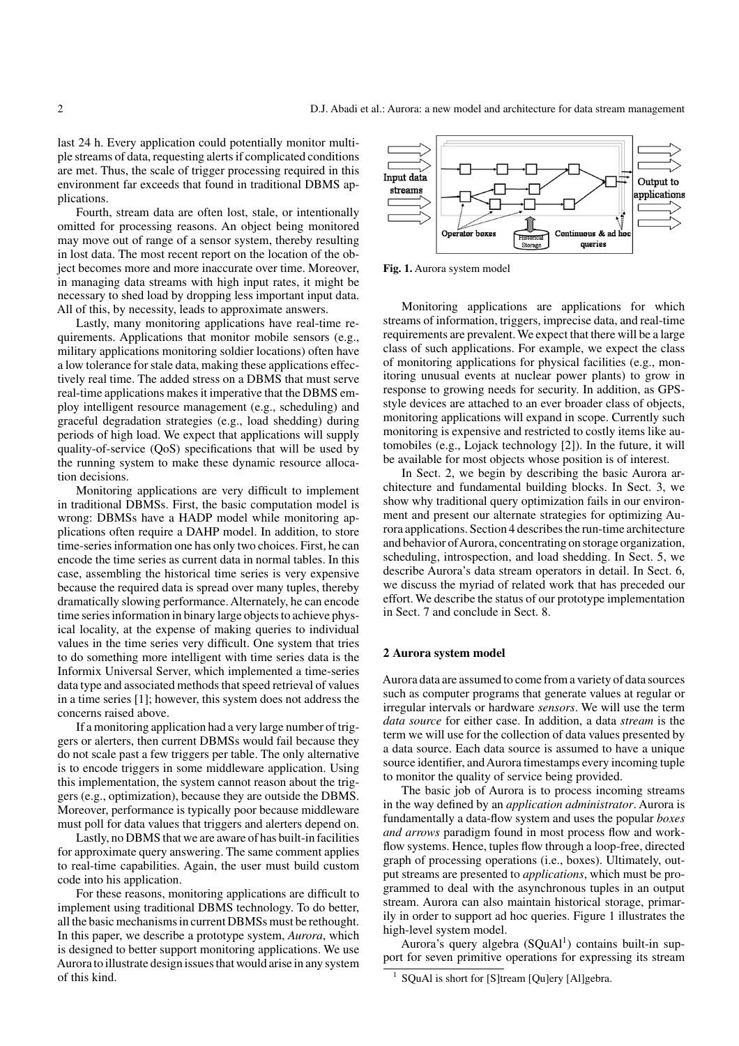last 24 h. Every application could potentially monitor multiple streams of data, requesting alerts if complicated conditions are met.Thus, the scale of trigger processing required in this environment far exceeds that found in traditional DBMS applications.

Fourth, stream data are often lost, stale, or intentionally omitted for processing reasons.An object being monitored may move out of range of a sensor system, thereby resulting in lost data.The most recent report on the location of the object becomes more and more inaccurate over time. Moreover, in managing data streams with high input rates, it might be necessary to shed load by dropping less important input data. All of this, by necessity, leads to approximate answers.

Lastly, many monitoring applications have real-time requirements. Applications that monitor mobile sensors (e.g., military applications monitoring soldier locations) often have a low tolerance for stale data, making these applications effectively real time.The added stress on a DBMS that must serve real-time applications makes it imperative that the DBMS employ intelligent resource management (e.g., scheduling) and graceful degradation strategies (e.g., load shedding) during periods of high load.We expect that applications will supply quality-of-service (QoS) specifications that will be used by the running system to make these dynamic resource allocation decisions.

Monitoring applications are very difficult to implement in traditional DBMSs. First, the basic computation model is wrong: DBMSs have a HADP model while monitoring applications often require a DAHP model.In addition, to store time-series information one has only two choices.First, he can encode the time series as current data in normal tables.In this case, assembling the historical time series is very expensive because the required data is spread over many tuples, thereby dramatically slowing performance.Alternately, he can encode time series information in binary large objects to achieve physical locality, at the expense of making queries to individual values in the time series very difficult.One system that tries to do something more intelligent with time series data is the Informix Universal Server, which implemented a time-series data type and associated methods that speed retrieval of values in a time series [1]; however, this system does not address the concerns raised above.

If a monitoring application had a very large number of triggers or alerters, then current DBMSs would fail because they do not scale past a few triggers per table.The only alternative is to encode triggers in some middleware application.Using this implementation, the system cannot reason about the triggers (e.g., optimization), because they are outside the DBMS. Moreover, performance is typically poor because middleware must poll for data values that triggers and alerters depend on.

Lastly, no DBMS that we are aware of has built-in facilities for approximate query answering. The same comment applies to real-time capabilities.Again, the user must build custom code into his application.

For these reasons, monitoring applications are difficult to implement using traditional DBMS technology.To do better, all the basic mechanisms in current DBMSs must be rethought. In this paper, we describe a prototype system, *Aurora*, which is designed to better support monitoring applications.We use Aurora to illustrate design issues that would arise in any system of this kind.



**Fig. 1.** Aurora system model

Monitoring applications are applications for which streams of information, triggers, imprecise data, and real-time requirements are prevalent.We expect that there will be a large class of such applications.For example, we expect the class of monitoring applications for physical facilities (e.g., monitoring unusual events at nuclear power plants) to grow in response to growing needs for security.In addition, as GPSstyle devices are attached to an ever broader class of objects, monitoring applications will expand in scope. Currently such monitoring is expensive and restricted to costly items like automobiles (e.g., Lojack technology [2]). In the future, it will be available for most objects whose position is of interest.

In Sect.2, we begin by describing the basic Aurora architecture and fundamental building blocks.In Sect.3, we show why traditional query optimization fails in our environment and present our alternate strategies for optimizing Aurora applications.Section 4 describes the run-time architecture and behavior of Aurora, concentrating on storage organization, scheduling, introspection, and load shedding. In Sect. 5, we describe Aurora's data stream operators in detail. In Sect. 6, we discuss the myriad of related work that has preceded our effort.We describe the status of our prototype implementation in Sect.7 and conclude in Sect.8.

#### **2 Aurora system model**

Aurora data are assumed to come from a variety of data sources such as computer programs that generate values at regular or irregular intervals or hardware *sensors*.We will use the term *data source* for either case.In addition, a data *stream* is the term we will use for the collection of data values presented by a data source.Each data source is assumed to have a unique source identifier, and Aurora timestamps every incoming tuple to monitor the quality of service being provided.

The basic job of Aurora is to process incoming streams in the way defined by an *application administrator*.Aurora is fundamentally a data-flow system and uses the popular *boxes and arrows* paradigm found in most process flow and workflow systems. Hence, tuples flow through a loop-free, directed graph of processing operations (i.e., boxes). Ultimately, output streams are presented to *applications*, which must be programmed to deal with the asynchronous tuples in an output stream.Aurora can also maintain historical storage, primarily in order to support ad hoc queries. Figure 1 illustrates the high-level system model.

Aurora's query algebra  $(SQuAl<sup>1</sup>)$  contains built-in support for seven primitive operations for expressing its stream

SQuAl is short for [S]tream [Qu]ery [Al]gebra.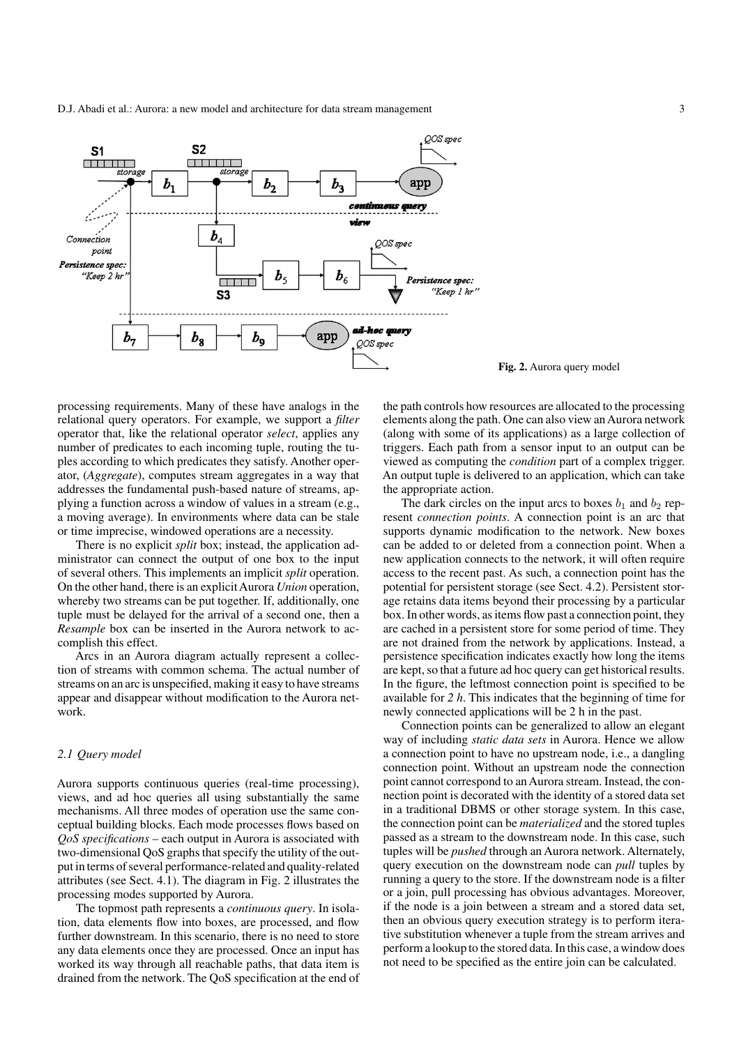

**Fig. 2.** Aurora query model

processing requirements.Many of these have analogs in the relational query operators.For example, we support a *filter* operator that, like the relational operator *select*, applies any number of predicates to each incoming tuple, routing the tuples according to which predicates they satisfy.Another operator, (*Aggregate*), computes stream aggregates in a way that addresses the fundamental push-based nature of streams, applying a function across a window of values in a stream (e.g., a moving average).In environments where data can be stale or time imprecise, windowed operations are a necessity.

There is no explicit *split* box; instead, the application administrator can connect the output of one box to the input of several others.This implements an implicit *split* operation. On the other hand, there is an explicit Aurora *Union* operation, whereby two streams can be put together. If, additionally, one tuple must be delayed for the arrival of a second one, then a *Resample* box can be inserted in the Aurora network to accomplish this effect.

Arcs in an Aurora diagram actually represent a collection of streams with common schema.The actual number of streams on an arc is unspecified, making it easy to have streams appear and disappear without modification to the Aurora network.

# *2.1 Query model*

Aurora supports continuous queries (real-time processing), views, and ad hoc queries all using substantially the same mechanisms.All three modes of operation use the same conceptual building blocks.Each mode processes flows based on *QoS specifications* – each output in Aurora is associated with two-dimensional QoS graphs that specify the utility of the output in terms of several performance-related and quality-related attributes (see Sect.4.1).The diagram in Fig.2 illustrates the processing modes supported by Aurora.

The topmost path represents a *continuous query*.In isolation, data elements flow into boxes, are processed, and flow further downstream.In this scenario, there is no need to store any data elements once they are processed.Once an input has worked its way through all reachable paths, that data item is drained from the network.The QoS specification at the end of

the path controls how resources are allocated to the processing elements along the path.One can also view an Aurora network (along with some of its applications) as a large collection of triggers.Each path from a sensor input to an output can be viewed as computing the *condition* part of a complex trigger. An output tuple is delivered to an application, which can take the appropriate action.

The dark circles on the input arcs to boxes  $b_1$  and  $b_2$  represent *connection points*.A connection point is an arc that supports dynamic modification to the network. New boxes can be added to or deleted from a connection point.When a new application connects to the network, it will often require access to the recent past.As such, a connection point has the potential for persistent storage (see Sect.4.2).Persistent storage retains data items beyond their processing by a particular box.In other words, as items flow past a connection point, they are cached in a persistent store for some period of time.They are not drained from the network by applications.Instead, a persistence specification indicates exactly how long the items are kept, so that a future ad hoc query can get historical results. In the figure, the leftmost connection point is specified to be available for *2 h*.This indicates that the beginning of time for newly connected applications will be 2 h in the past.

Connection points can be generalized to allow an elegant way of including *static data sets* in Aurora. Hence we allow a connection point to have no upstream node, i.e., a dangling connection point.Without an upstream node the connection point cannot correspond to an Aurora stream.Instead, the connection point is decorated with the identity of a stored data set in a traditional DBMS or other storage system.In this case, the connection point can be *materialized* and the stored tuples passed as a stream to the downstream node.In this case, such tuples will be *pushed* through an Aurora network. Alternately, query execution on the downstream node can *pull* tuples by running a query to the store.If the downstream node is a filter or a join, pull processing has obvious advantages.Moreover, if the node is a join between a stream and a stored data set, then an obvious query execution strategy is to perform iterative substitution whenever a tuple from the stream arrives and perform a lookup to the stored data.In this case, a window does not need to be specified as the entire join can be calculated.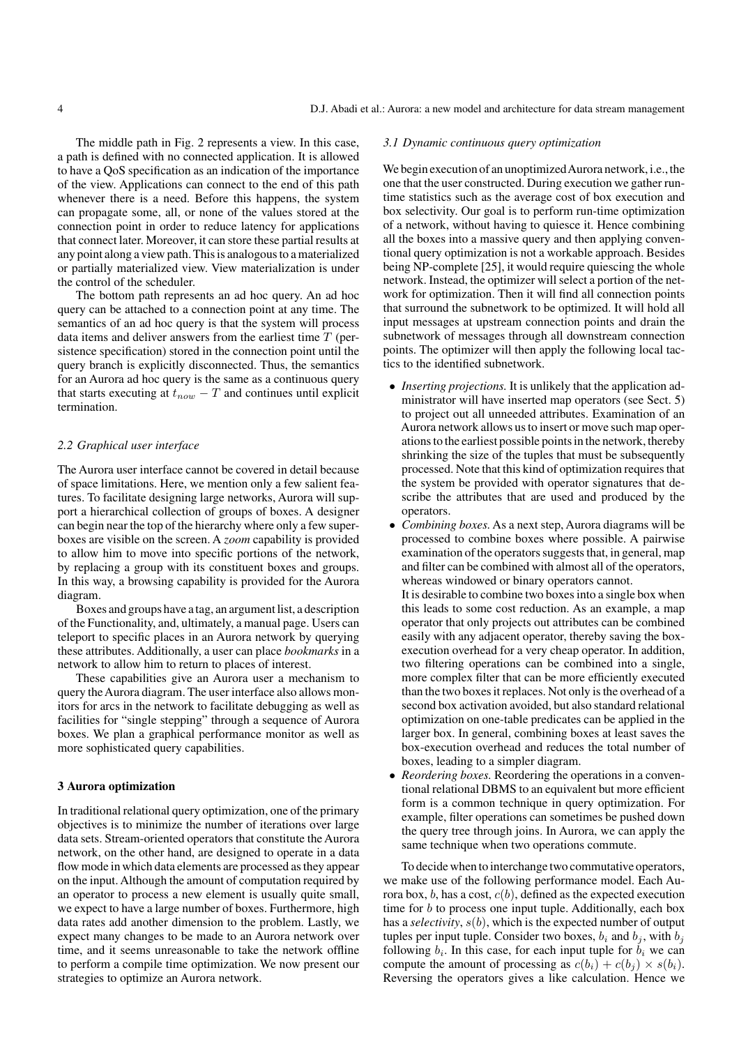The middle path in Fig. 2 represents a view. In this case, a path is defined with no connected application. It is allowed to have a QoS specification as an indication of the importance of the view.Applications can connect to the end of this path whenever there is a need. Before this happens, the system can propagate some, all, or none of the values stored at the connection point in order to reduce latency for applications that connect later.Moreover, it can store these partial results at any point along a view path.This is analogous to a materialized or partially materialized view.View materialization is under the control of the scheduler.

The bottom path represents an ad hoc query.An ad hoc query can be attached to a connection point at any time.The semantics of an ad hoc query is that the system will process data items and deliver answers from the earliest time  $T$  (persistence specification) stored in the connection point until the query branch is explicitly disconnected.Thus, the semantics for an Aurora ad hoc query is the same as a continuous query that starts executing at  $t_{now} - T$  and continues until explicit termination.

#### *2.2 Graphical user interface*

The Aurora user interface cannot be covered in detail because of space limitations. Here, we mention only a few salient features.To facilitate designing large networks, Aurora will support a hierarchical collection of groups of boxes.A designer can begin near the top of the hierarchy where only a few superboxes are visible on the screen.A *zoom* capability is provided to allow him to move into specific portions of the network, by replacing a group with its constituent boxes and groups. In this way, a browsing capability is provided for the Aurora diagram.

Boxes and groups have a tag, an argument list, a description of the Functionality, and, ultimately, a manual page.Users can teleport to specific places in an Aurora network by querying these attributes.Additionally, a user can place *bookmarks* in a network to allow him to return to places of interest.

These capabilities give an Aurora user a mechanism to query the Aurora diagram.The user interface also allows monitors for arcs in the network to facilitate debugging as well as facilities for "single stepping" through a sequence of Aurora boxes.We plan a graphical performance monitor as well as more sophisticated query capabilities.

# **3 Aurora optimization**

In traditional relational query optimization, one of the primary objectives is to minimize the number of iterations over large data sets. Stream-oriented operators that constitute the Aurora network, on the other hand, are designed to operate in a data flow mode in which data elements are processed as they appear on the input.Although the amount of computation required by an operator to process a new element is usually quite small, we expect to have a large number of boxes. Furthermore, high data rates add another dimension to the problem.Lastly, we expect many changes to be made to an Aurora network over time, and it seems unreasonable to take the network offline to perform a compile time optimization.We now present our strategies to optimize an Aurora network.

#### *3.1 Dynamic continuous query optimization*

We begin execution of an unoptimized Aurora network, *i.e.*, the one that the user constructed.During execution we gather runtime statistics such as the average cost of box execution and box selectivity.Our goal is to perform run-time optimization of a network, without having to quiesce it.Hence combining all the boxes into a massive query and then applying conventional query optimization is not a workable approach.Besides being NP-complete [25], it would require quiescing the whole network.Instead, the optimizer will select a portion of the network for optimization. Then it will find all connection points that surround the subnetwork to be optimized.It will hold all input messages at upstream connection points and drain the subnetwork of messages through all downstream connection points.The optimizer will then apply the following local tactics to the identified subnetwork.

- *Inserting projections.* It is unlikely that the application administrator will have inserted map operators (see Sect. 5) to project out all unneeded attributes.Examination of an Aurora network allows us to insert or move such map operations to the earliest possible points in the network, thereby shrinking the size of the tuples that must be subsequently processed.Note that this kind of optimization requires that the system be provided with operator signatures that describe the attributes that are used and produced by the operators.
- *Combining boxes.* As a next step, Aurora diagrams will be processed to combine boxes where possible.A pairwise examination of the operators suggests that, in general, map and filter can be combined with almost all of the operators, whereas windowed or binary operators cannot.

It is desirable to combine two boxes into a single box when this leads to some cost reduction.As an example, a map operator that only projects out attributes can be combined easily with any adjacent operator, thereby saving the boxexecution overhead for a very cheap operator.In addition, two filtering operations can be combined into a single, more complex filter that can be more efficiently executed than the two boxes it replaces.Not only is the overhead of a second box activation avoided, but also standard relational optimization on one-table predicates can be applied in the larger box.In general, combining boxes at least saves the box-execution overhead and reduces the total number of boxes, leading to a simpler diagram.

• *Reordering boxes.* Reordering the operations in a conventional relational DBMS to an equivalent but more efficient form is a common technique in query optimization. For example, filter operations can sometimes be pushed down the query tree through joins.In Aurora, we can apply the same technique when two operations commute.

To decide when to interchange two commutative operators, we make use of the following performance model. Each Aurora box,  $b$ , has a cost,  $c(b)$ , defined as the expected execution time for  $b$  to process one input tuple. Additionally, each box has a *selectivity*, s(b), which is the expected number of output tuples per input tuple. Consider two boxes,  $b_i$  and  $b_j$ , with  $b_j$ following  $b_i$ . In this case, for each input tuple for  $b_i$  we can compute the amount of processing as  $c(b_i) + c(b_i) \times s(b_i)$ . Reversing the operators gives a like calculation. Hence we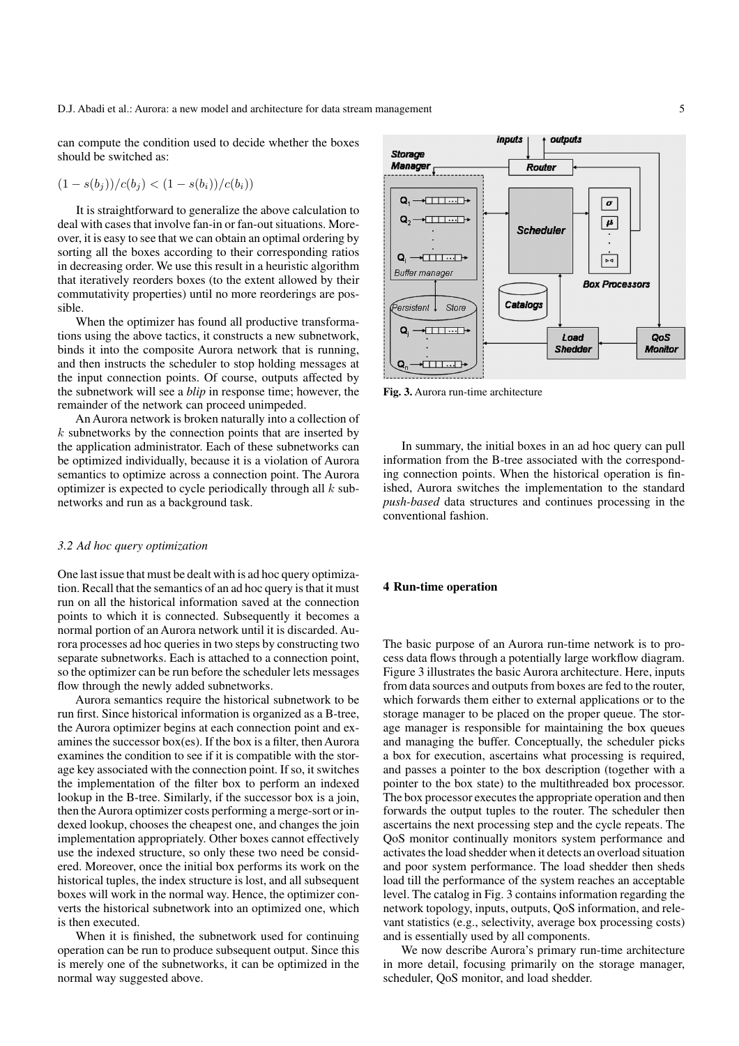can compute the condition used to decide whether the boxes should be switched as:

$$
(1 - s(b_j))/c(b_j) < (1 - s(b_i))/c(b_i))
$$

It is straightforward to generalize the above calculation to deal with cases that involve fan-in or fan-out situations.Moreover, it is easy to see that we can obtain an optimal ordering by sorting all the boxes according to their corresponding ratios in decreasing order.We use this result in a heuristic algorithm that iteratively reorders boxes (to the extent allowed by their commutativity properties) until no more reorderings are possible.

When the optimizer has found all productive transformations using the above tactics, it constructs a new subnetwork, binds it into the composite Aurora network that is running, and then instructs the scheduler to stop holding messages at the input connection points.Of course, outputs affected by the subnetwork will see a *blip* in response time; however, the remainder of the network can proceed unimpeded.

An Aurora network is broken naturally into a collection of  $k$  subnetworks by the connection points that are inserted by the application administrator.Each of these subnetworks can be optimized individually, because it is a violation of Aurora semantics to optimize across a connection point. The Aurora optimizer is expected to cycle periodically through all  $k$  subnetworks and run as a background task.

#### *3.2 Ad hoc query optimization*

One last issue that must be dealt with is ad hoc query optimization.Recall that the semantics of an ad hoc query is that it must run on all the historical information saved at the connection points to which it is connected. Subsequently it becomes a normal portion of an Aurora network until it is discarded.Aurora processes ad hoc queries in two steps by constructing two separate subnetworks.Each is attached to a connection point, so the optimizer can be run before the scheduler lets messages flow through the newly added subnetworks.

Aurora semantics require the historical subnetwork to be run first.Since historical information is organized as a B-tree, the Aurora optimizer begins at each connection point and examines the successor box(es). If the box is a filter, then Aurora examines the condition to see if it is compatible with the storage key associated with the connection point.If so, it switches the implementation of the filter box to perform an indexed lookup in the B-tree. Similarly, if the successor box is a join, then the Aurora optimizer costs performing a merge-sort or indexed lookup, chooses the cheapest one, and changes the join implementation appropriately.Other boxes cannot effectively use the indexed structure, so only these two need be considered.Moreover, once the initial box performs its work on the historical tuples, the index structure is lost, and all subsequent boxes will work in the normal way.Hence, the optimizer converts the historical subnetwork into an optimized one, which is then executed.

When it is finished, the subnetwork used for continuing operation can be run to produce subsequent output.Since this is merely one of the subnetworks, it can be optimized in the normal way suggested above.



**Fig. 3.** Aurora run-time architecture

In summary, the initial boxes in an ad hoc query can pull information from the B-tree associated with the corresponding connection points.When the historical operation is finished, Aurora switches the implementation to the standard *push-based* data structures and continues processing in the conventional fashion.

# **4 Run-time operation**

The basic purpose of an Aurora run-time network is to process data flows through a potentially large workflow diagram. Figure 3 illustrates the basic Aurora architecture. Here, inputs from data sources and outputs from boxes are fed to the router, which forwards them either to external applications or to the storage manager to be placed on the proper queue. The storage manager is responsible for maintaining the box queues and managing the buffer. Conceptually, the scheduler picks a box for execution, ascertains what processing is required, and passes a pointer to the box description (together with a pointer to the box state) to the multithreaded box processor. The box processor executes the appropriate operation and then forwards the output tuples to the router.The scheduler then ascertains the next processing step and the cycle repeats.The QoS monitor continually monitors system performance and activates the load shedder when it detects an overload situation and poor system performance.The load shedder then sheds load till the performance of the system reaches an acceptable level. The catalog in Fig. 3 contains information regarding the network topology, inputs, outputs, QoS information, and relevant statistics (e.g., selectivity, average box processing costs) and is essentially used by all components.

We now describe Aurora's primary run-time architecture in more detail, focusing primarily on the storage manager, scheduler, QoS monitor, and load shedder.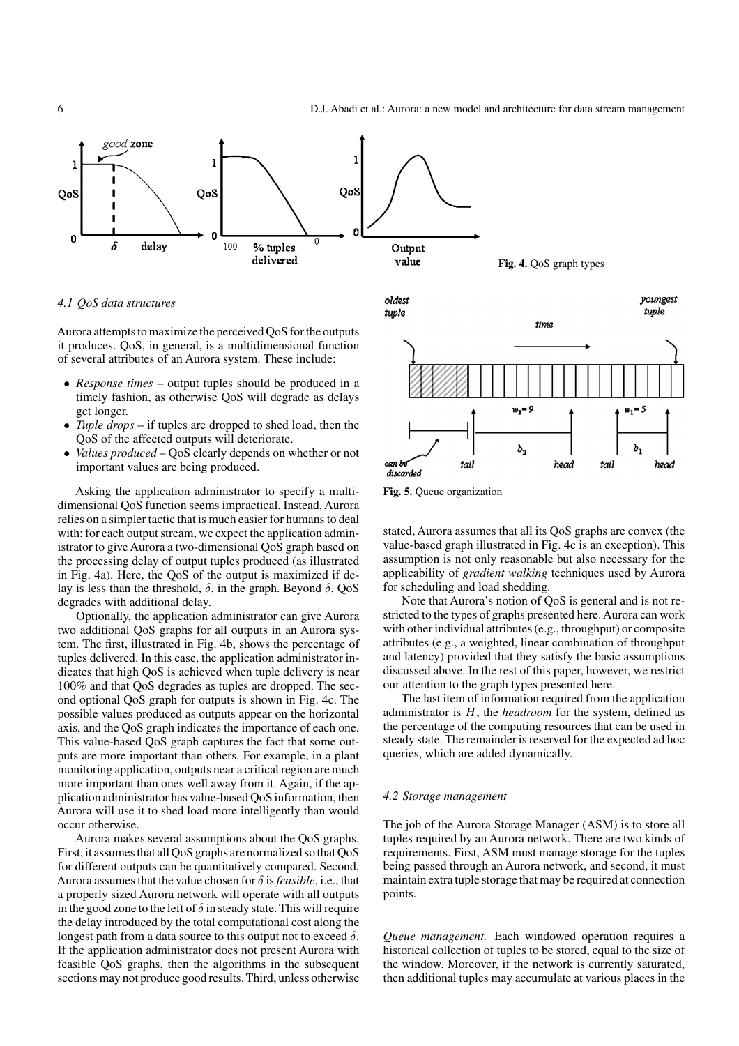

#### *4.1 QoS data structures*

Aurora attempts to maximize the perceived QoS for the outputs it produces.QoS, in general, is a multidimensional function of several attributes of an Aurora system.These include:

- *Response times* output tuples should be produced in a timely fashion, as otherwise QoS will degrade as delays get longer.
- *Tuple drops* if tuples are dropped to shed load, then the QoS of the affected outputs will deteriorate.
- *Values produced* QoS clearly depends on whether or not important values are being produced.

Asking the application administrator to specify a multidimensional QoS function seems impractical.Instead, Aurora relies on a simpler tactic that is much easier for humans to deal with: for each output stream, we expect the application administrator to give Aurora a two-dimensional QoS graph based on the processing delay of output tuples produced (as illustrated in Fig. 4a). Here, the QoS of the output is maximized if delay is less than the threshold,  $\delta$ , in the graph. Beyond  $\delta$ , QoS degrades with additional delay.

Optionally, the application administrator can give Aurora two additional QoS graphs for all outputs in an Aurora system.The first, illustrated in Fig.4b, shows the percentage of tuples delivered.In this case, the application administrator indicates that high QoS is achieved when tuple delivery is near 100% and that QoS degrades as tuples are dropped.The second optional QoS graph for outputs is shown in Fig.4c.The possible values produced as outputs appear on the horizontal axis, and the QoS graph indicates the importance of each one. This value-based QoS graph captures the fact that some outputs are more important than others.For example, in a plant monitoring application, outputs near a critical region are much more important than ones well away from it. Again, if the application administrator has value-based QoS information, then Aurora will use it to shed load more intelligently than would occur otherwise.

Aurora makes several assumptions about the QoS graphs. First, it assumes that all QoS graphs are normalized so that QoS for different outputs can be quantitatively compared. Second, Aurora assumes that the value chosen for  $\delta$  is *feasible*, i.e., that a properly sized Aurora network will operate with all outputs in the good zone to the left of  $\delta$  in steady state. This will require the delay introduced by the total computational cost along the longest path from a data source to this output not to exceed  $\delta$ . If the application administrator does not present Aurora with feasible QoS graphs, then the algorithms in the subsequent sections may not produce good results.Third, unless otherwise



**Fig. 5.** Queue organization

stated, Aurora assumes that all its QoS graphs are convex (the value-based graph illustrated in Fig.4c is an exception).This assumption is not only reasonable but also necessary for the applicability of *gradient walking* techniques used by Aurora for scheduling and load shedding.

Note that Aurora's notion of QoS is general and is not restricted to the types of graphs presented here. Aurora can work with other individual attributes (e.g., throughput) or composite attributes (e.g., a weighted, linear combination of throughput and latency) provided that they satisfy the basic assumptions discussed above.In the rest of this paper, however, we restrict our attention to the graph types presented here.

The last item of information required from the application administrator is H, the *headroom* for the system, defined as the percentage of the computing resources that can be used in steady state.The remainder is reserved for the expected ad hoc queries, which are added dynamically.

### *4.2 Storage management*

The job of the Aurora Storage Manager (ASM) is to store all tuples required by an Aurora network.There are two kinds of requirements.First, ASM must manage storage for the tuples being passed through an Aurora network, and second, it must maintain extra tuple storage that may be required at connection points.

*Queue management.* Each windowed operation requires a historical collection of tuples to be stored, equal to the size of the window.Moreover, if the network is currently saturated, then additional tuples may accumulate at various places in the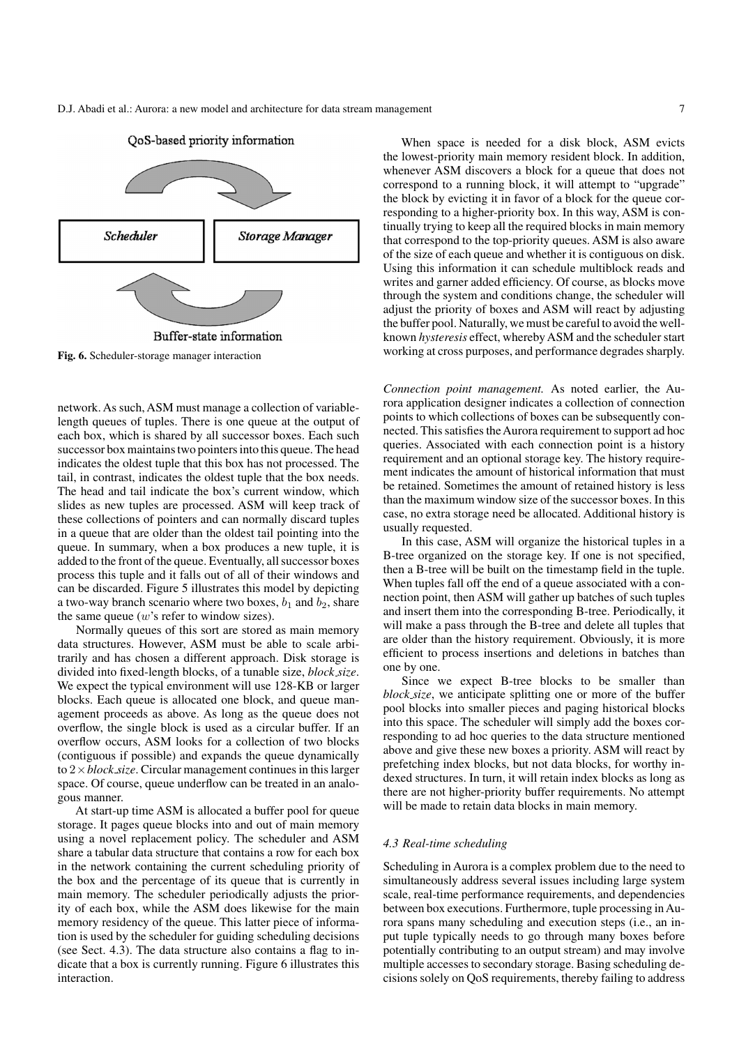

**Fig. 6.** Scheduler-storage manager interaction

network.As such, ASM must manage a collection of variablelength queues of tuples.There is one queue at the output of each box, which is shared by all successor boxes. Each such successor box maintains two pointers into this queue.The head indicates the oldest tuple that this box has not processed.The tail, in contrast, indicates the oldest tuple that the box needs. The head and tail indicate the box's current window, which slides as new tuples are processed.ASM will keep track of these collections of pointers and can normally discard tuples in a queue that are older than the oldest tail pointing into the queue.In summary, when a box produces a new tuple, it is added to the front of the queue.Eventually, all successor boxes process this tuple and it falls out of all of their windows and can be discarded.Figure 5 illustrates this model by depicting a two-way branch scenario where two boxes,  $b_1$  and  $b_2$ , share the same queue  $(w$ 's refer to window sizes).

Normally queues of this sort are stored as main memory data structures. However, ASM must be able to scale arbitrarily and has chosen a different approach.Disk storage is divided into fixed-length blocks, of a tunable size, *block size*. We expect the typical environment will use 128-KB or larger blocks.Each queue is allocated one block, and queue management proceeds as above.As long as the queue does not overflow, the single block is used as a circular buffer.If an overflow occurs, ASM looks for a collection of two blocks (contiguous if possible) and expands the queue dynamically to  $2 \times block_size$ . Circular management continues in this larger space. Of course, queue underflow can be treated in an analogous manner.

At start-up time ASM is allocated a buffer pool for queue storage.It pages queue blocks into and out of main memory using a novel replacement policy.The scheduler and ASM share a tabular data structure that contains a row for each box in the network containing the current scheduling priority of the box and the percentage of its queue that is currently in main memory.The scheduler periodically adjusts the priority of each box, while the ASM does likewise for the main memory residency of the queue. This latter piece of information is used by the scheduler for guiding scheduling decisions (see Sect.4.3).The data structure also contains a flag to indicate that a box is currently running. Figure 6 illustrates this interaction.

When space is needed for a disk block, ASM evicts the lowest-priority main memory resident block.In addition, whenever ASM discovers a block for a queue that does not correspond to a running block, it will attempt to "upgrade" the block by evicting it in favor of a block for the queue corresponding to a higher-priority box. In this way, ASM is continually trying to keep all the required blocks in main memory that correspond to the top-priority queues.ASM is also aware of the size of each queue and whether it is contiguous on disk. Using this information it can schedule multiblock reads and writes and garner added efficiency.Of course, as blocks move through the system and conditions change, the scheduler will adjust the priority of boxes and ASM will react by adjusting the buffer pool. Naturally, we must be careful to avoid the wellknown *hysteresis* effect, whereby ASM and the scheduler start working at cross purposes, and performance degrades sharply.

*Connection point management.* As noted earlier, the Aurora application designer indicates a collection of connection points to which collections of boxes can be subsequently connected.This satisfies the Aurora requirement to support ad hoc queries.Associated with each connection point is a history requirement and an optional storage key.The history requirement indicates the amount of historical information that must be retained. Sometimes the amount of retained history is less than the maximum window size of the successor boxes.In this case, no extra storage need be allocated.Additional history is usually requested.

In this case, ASM will organize the historical tuples in a B-tree organized on the storage key.If one is not specified, then a B-tree will be built on the timestamp field in the tuple. When tuples fall off the end of a queue associated with a connection point, then ASM will gather up batches of such tuples and insert them into the corresponding B-tree. Periodically, it will make a pass through the B-tree and delete all tuples that are older than the history requirement.Obviously, it is more efficient to process insertions and deletions in batches than one by one.

Since we expect B-tree blocks to be smaller than *block size*, we anticipate splitting one or more of the buffer pool blocks into smaller pieces and paging historical blocks into this space.The scheduler will simply add the boxes corresponding to ad hoc queries to the data structure mentioned above and give these new boxes a priority.ASM will react by prefetching index blocks, but not data blocks, for worthy indexed structures.In turn, it will retain index blocks as long as there are not higher-priority buffer requirements. No attempt will be made to retain data blocks in main memory.

#### *4.3 Real-time scheduling*

Scheduling in Aurora is a complex problem due to the need to simultaneously address several issues including large system scale, real-time performance requirements, and dependencies between box executions.Furthermore, tuple processing in Aurora spans many scheduling and execution steps (i.e., an input tuple typically needs to go through many boxes before potentially contributing to an output stream) and may involve multiple accesses to secondary storage.Basing scheduling decisions solely on QoS requirements, thereby failing to address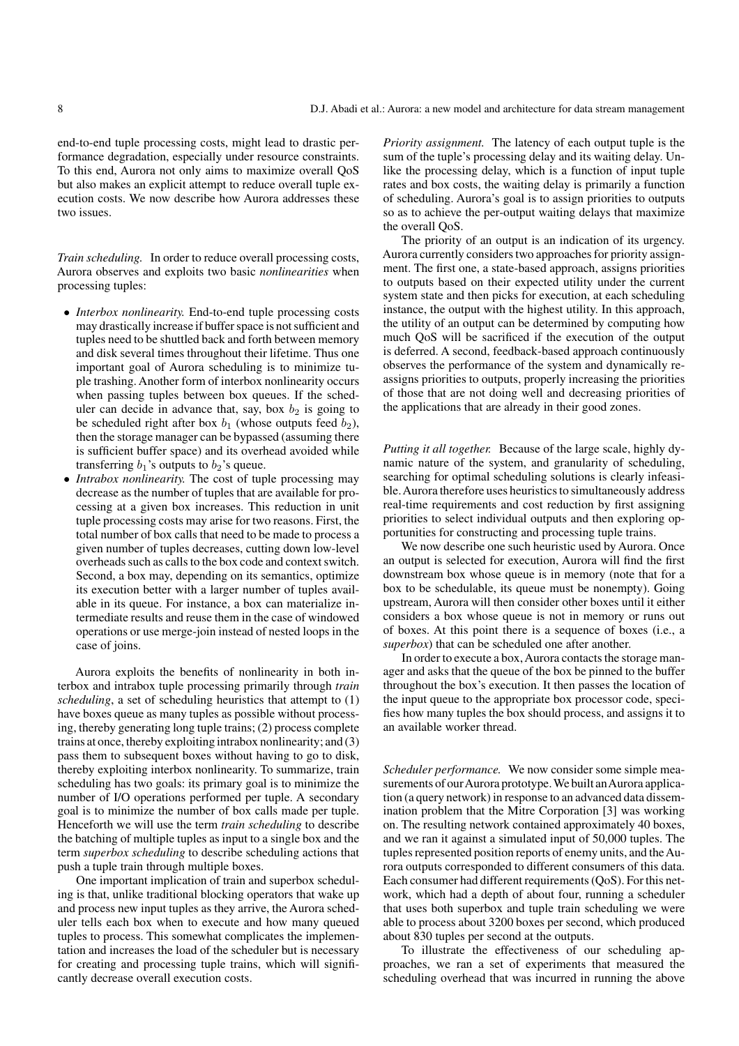end-to-end tuple processing costs, might lead to drastic performance degradation, especially under resource constraints. To this end, Aurora not only aims to maximize overall QoS but also makes an explicit attempt to reduce overall tuple execution costs.We now describe how Aurora addresses these two issues.

*Train scheduling.* In order to reduce overall processing costs, Aurora observes and exploits two basic *nonlinearities* when processing tuples:

- *Interbox nonlinearity.* End-to-end tuple processing costs may drastically increase if buffer space is not sufficient and tuples need to be shuttled back and forth between memory and disk several times throughout their lifetime.Thus one important goal of Aurora scheduling is to minimize tuple trashing.Another form of interbox nonlinearity occurs when passing tuples between box queues. If the scheduler can decide in advance that, say, box  $b_2$  is going to be scheduled right after box  $b_1$  (whose outputs feed  $b_2$ ), then the storage manager can be bypassed (assuming there is sufficient buffer space) and its overhead avoided while transferring  $b_1$ 's outputs to  $b_2$ 's queue.
- *Intrabox nonlinearity.* The cost of tuple processing may decrease as the number of tuples that are available for processing at a given box increases.This reduction in unit tuple processing costs may arise for two reasons.First, the total number of box calls that need to be made to process a given number of tuples decreases, cutting down low-level overheads such as calls to the box code and context switch. Second, a box may, depending on its semantics, optimize its execution better with a larger number of tuples available in its queue.For instance, a box can materialize intermediate results and reuse them in the case of windowed operations or use merge-join instead of nested loops in the case of joins.

Aurora exploits the benefits of nonlinearity in both interbox and intrabox tuple processing primarily through *train scheduling*, a set of scheduling heuristics that attempt to (1) have boxes queue as many tuples as possible without processing, thereby generating long tuple trains; (2) process complete trains at once, thereby exploiting intrabox nonlinearity; and (3) pass them to subsequent boxes without having to go to disk, thereby exploiting interbox nonlinearity.To summarize, train scheduling has two goals: its primary goal is to minimize the number of I/O operations performed per tuple.A secondary goal is to minimize the number of box calls made per tuple. Henceforth we will use the term *train scheduling* to describe the batching of multiple tuples as input to a single box and the term *superbox scheduling* to describe scheduling actions that push a tuple train through multiple boxes.

One important implication of train and superbox scheduling is that, unlike traditional blocking operators that wake up and process new input tuples as they arrive, the Aurora scheduler tells each box when to execute and how many queued tuples to process.This somewhat complicates the implementation and increases the load of the scheduler but is necessary for creating and processing tuple trains, which will significantly decrease overall execution costs.

*Priority assignment.* The latency of each output tuple is the sum of the tuple's processing delay and its waiting delay.Unlike the processing delay, which is a function of input tuple rates and box costs, the waiting delay is primarily a function of scheduling.Aurora's goal is to assign priorities to outputs so as to achieve the per-output waiting delays that maximize the overall QoS.

The priority of an output is an indication of its urgency. Aurora currently considers two approaches for priority assignment.The first one, a state-based approach, assigns priorities to outputs based on their expected utility under the current system state and then picks for execution, at each scheduling instance, the output with the highest utility. In this approach, the utility of an output can be determined by computing how much QoS will be sacrificed if the execution of the output is deferred.A second, feedback-based approach continuously observes the performance of the system and dynamically reassigns priorities to outputs, properly increasing the priorities of those that are not doing well and decreasing priorities of the applications that are already in their good zones.

*Putting it all together.* Because of the large scale, highly dynamic nature of the system, and granularity of scheduling, searching for optimal scheduling solutions is clearly infeasible.Aurora therefore uses heuristics to simultaneously address real-time requirements and cost reduction by first assigning priorities to select individual outputs and then exploring opportunities for constructing and processing tuple trains.

We now describe one such heuristic used by Aurora. Once an output is selected for execution, Aurora will find the first downstream box whose queue is in memory (note that for a box to be schedulable, its queue must be nonempty).Going upstream, Aurora will then consider other boxes until it either considers a box whose queue is not in memory or runs out of boxes. At this point there is a sequence of boxes (i.e., a *superbox*) that can be scheduled one after another.

In order to execute a box,Aurora contacts the storage manager and asks that the queue of the box be pinned to the buffer throughout the box's execution.It then passes the location of the input queue to the appropriate box processor code, specifies how many tuples the box should process, and assigns it to an available worker thread.

*Scheduler performance.* We now consider some simple measurements of our Aurora prototype. We built an Aurora application (a query network) in response to an advanced data dissemination problem that the Mitre Corporation [3] was working on.The resulting network contained approximately 40 boxes, and we ran it against a simulated input of 50,000 tuples.The tuples represented position reports of enemy units, and theAurora outputs corresponded to different consumers of this data. Each consumer had different requirements (QoS). For this network, which had a depth of about four, running a scheduler that uses both superbox and tuple train scheduling we were able to process about 3200 boxes per second, which produced about 830 tuples per second at the outputs.

To illustrate the effectiveness of our scheduling approaches, we ran a set of experiments that measured the scheduling overhead that was incurred in running the above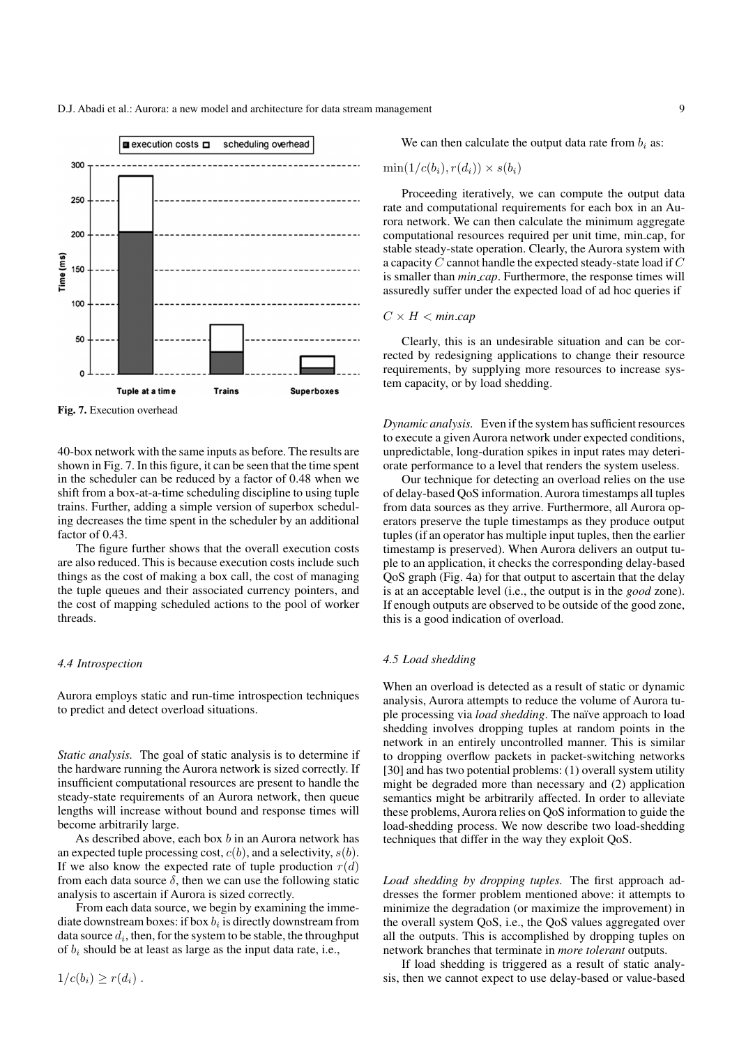D.J. Abadi et al.: Aurora: a new model and architecture for data stream management 9



**Fig. 7.** Execution overhead

40-box network with the same inputs as before.The results are shown in Fig.7.In this figure, it can be seen that the time spent in the scheduler can be reduced by a factor of 0.48 when we shift from a box-at-a-time scheduling discipline to using tuple trains.Further, adding a simple version of superbox scheduling decreases the time spent in the scheduler by an additional factor of 0.43.

The figure further shows that the overall execution costs are also reduced.This is because execution costs include such things as the cost of making a box call, the cost of managing the tuple queues and their associated currency pointers, and the cost of mapping scheduled actions to the pool of worker threads.

# *4.4 Introspection*

Aurora employs static and run-time introspection techniques to predict and detect overload situations.

*Static analysis.* The goal of static analysis is to determine if the hardware running the Aurora network is sized correctly.If insufficient computational resources are present to handle the steady-state requirements of an Aurora network, then queue lengths will increase without bound and response times will become arbitrarily large.

As described above, each box  $b$  in an Aurora network has an expected tuple processing cost,  $c(b)$ , and a selectivity,  $s(b)$ . If we also know the expected rate of tuple production  $r(d)$ from each data source  $\delta$ , then we can use the following static analysis to ascertain if Aurora is sized correctly.

From each data source, we begin by examining the immediate downstream boxes: if box  $b_i$  is directly downstream from data source  $d_i$ , then, for the system to be stable, the throughput of  $b_i$  should be at least as large as the input data rate, i.e.,

 $1/c(b_i) > r(d_i)$ .

We can then calculate the output data rate from  $b_i$  as:

$$
\min(1/c(b_i), r(d_i)) \times s(b_i)
$$

Proceeding iteratively, we can compute the output data rate and computational requirements for each box in an Aurora network.We can then calculate the minimum aggregate computational resources required per unit time, min cap, for stable steady-state operation.Clearly, the Aurora system with a capacity C cannot handle the expected steady-state load if C is smaller than *min\_cap*. Furthermore, the response times will assuredly suffer under the expected load of ad hoc queries if

# $C \times H < min_{cap}$

Clearly, this is an undesirable situation and can be corrected by redesigning applications to change their resource requirements, by supplying more resources to increase system capacity, or by load shedding.

*Dynamic analysis.* Even if the system has sufficient resources to execute a given Aurora network under expected conditions, unpredictable, long-duration spikes in input rates may deteriorate performance to a level that renders the system useless.

Our technique for detecting an overload relies on the use of delay-based QoS information.Aurora timestamps all tuples from data sources as they arrive. Furthermore, all Aurora operators preserve the tuple timestamps as they produce output tuples (if an operator has multiple input tuples, then the earlier timestamp is preserved).When Aurora delivers an output tuple to an application, it checks the corresponding delay-based QoS graph (Fig.4a) for that output to ascertain that the delay is at an acceptable level (i.e., the output is in the *good* zone). If enough outputs are observed to be outside of the good zone, this is a good indication of overload.

#### *4.5 Load shedding*

When an overload is detected as a result of static or dynamic analysis, Aurora attempts to reduce the volume of Aurora tuple processing via *load shedding*. The naïve approach to load shedding involves dropping tuples at random points in the network in an entirely uncontrolled manner.This is similar to dropping overflow packets in packet-switching networks [30] and has two potential problems: (1) overall system utility might be degraded more than necessary and (2) application semantics might be arbitrarily affected. In order to alleviate these problems, Aurora relies on QoS information to guide the load-shedding process.We now describe two load-shedding techniques that differ in the way they exploit QoS.

Load shedding by dropping tuples. The first approach addresses the former problem mentioned above: it attempts to minimize the degradation (or maximize the improvement) in the overall system QoS, i.e., the QoS values aggregated over all the outputs.This is accomplished by dropping tuples on network branches that terminate in *more tolerant* outputs.

If load shedding is triggered as a result of static analysis, then we cannot expect to use delay-based or value-based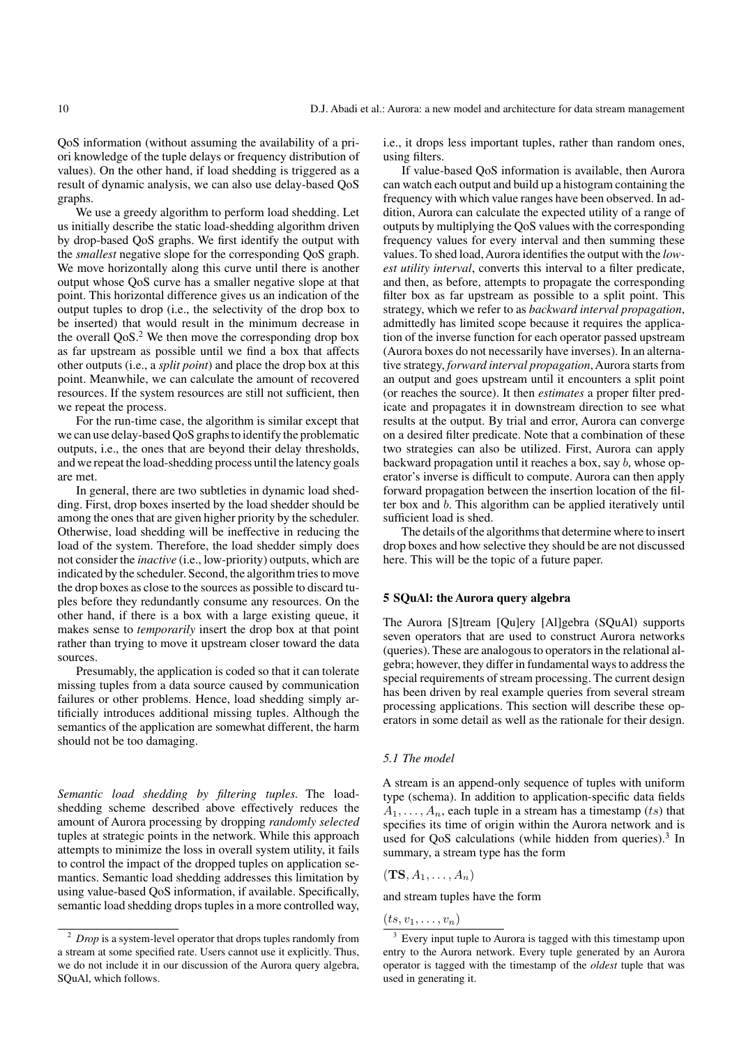QoS information (without assuming the availability of a priori knowledge of the tuple delays or frequency distribution of values).On the other hand, if load shedding is triggered as a result of dynamic analysis, we can also use delay-based QoS graphs.

We use a greedy algorithm to perform load shedding. Let us initially describe the static load-shedding algorithm driven by drop-based QoS graphs.We first identify the output with the *smallest* negative slope for the corresponding QoS graph. We move horizontally along this curve until there is another output whose QoS curve has a smaller negative slope at that point.This horizontal difference gives us an indication of the output tuples to drop (i.e., the selectivity of the drop box to be inserted) that would result in the minimum decrease in the overall QoS.<sup>2</sup> We then move the corresponding drop box as far upstream as possible until we find a box that affects other outputs (i.e., a *split point*) and place the drop box at this point. Meanwhile, we can calculate the amount of recovered resources.If the system resources are still not sufficient, then we repeat the process.

For the run-time case, the algorithm is similar except that we can use delay-based QoS graphs to identify the problematic outputs, i.e., the ones that are beyond their delay thresholds, and we repeat the load-shedding process until the latency goals are met.

In general, there are two subtleties in dynamic load shedding.First, drop boxes inserted by the load shedder should be among the ones that are given higher priority by the scheduler. Otherwise, load shedding will be ineffective in reducing the load of the system.Therefore, the load shedder simply does not consider the *inactive* (i.e., low-priority) outputs, which are indicated by the scheduler. Second, the algorithm tries to move the drop boxes as close to the sources as possible to discard tuples before they redundantly consume any resources.On the other hand, if there is a box with a large existing queue, it makes sense to *temporarily* insert the drop box at that point rather than trying to move it upstream closer toward the data sources.

Presumably, the application is coded so that it can tolerate missing tuples from a data source caused by communication failures or other problems. Hence, load shedding simply artificially introduces additional missing tuples.Although the semantics of the application are somewhat different, the harm should not be too damaging.

*Semantic load shedding by filtering tuples.* The loadshedding scheme described above effectively reduces the amount of Aurora processing by dropping *randomly selected* tuples at strategic points in the network.While this approach attempts to minimize the loss in overall system utility, it fails to control the impact of the dropped tuples on application semantics.Semantic load shedding addresses this limitation by using value-based QoS information, if available. Specifically, semantic load shedding drops tuples in a more controlled way, i.e., it drops less important tuples, rather than random ones, using filters.

If value-based QoS information is available, then Aurora can watch each output and build up a histogram containing the frequency with which value ranges have been observed.In addition, Aurora can calculate the expected utility of a range of outputs by multiplying the QoS values with the corresponding frequency values for every interval and then summing these values.To shed load, Aurora identifies the output with the *lowest utility interval*, converts this interval to a filter predicate, and then, as before, attempts to propagate the corresponding filter box as far upstream as possible to a split point. This strategy, which we refer to as *backward interval propagation*, admittedly has limited scope because it requires the application of the inverse function for each operator passed upstream (Aurora boxes do not necessarily have inverses). In an alternative strategy, *forward interval propagation*, Aurora starts from an output and goes upstream until it encounters a split point (or reaches the source).It then *estimates* a proper filter predicate and propagates it in downstream direction to see what results at the output.By trial and error, Aurora can converge on a desired filter predicate. Note that a combination of these two strategies can also be utilized. First, Aurora can apply backward propagation until it reaches a box, say b, whose operator's inverse is difficult to compute.Aurora can then apply forward propagation between the insertion location of the filter box and b.This algorithm can be applied iteratively until sufficient load is shed.

The details of the algorithms that determine where to insert drop boxes and how selective they should be are not discussed here.This will be the topic of a future paper.

## **5 SQuAl: the Aurora query algebra**

The Aurora [S]tream [Qu]ery [Al]gebra (SQuAl) supports seven operators that are used to construct Aurora networks (queries).These are analogous to operators in the relational algebra; however, they differ in fundamental ways to address the special requirements of stream processing. The current design has been driven by real example queries from several stream processing applications.This section will describe these operators in some detail as well as the rationale for their design.

## *5.1 The model*

A stream is an append-only sequence of tuples with uniform type (schema). In addition to application-specific data fields  $A_1, \ldots, A_n$ , each tuple in a stream has a timestamp (ts) that specifies its time of origin within the Aurora network and is used for QoS calculations (while hidden from queries). $3 \text{ In}$ summary, a stream type has the form

 $(TS, A_1, \ldots, A_n)$ 

and stream tuples have the form

```
(ts, v_1, \ldots, v_n)
```
<sup>&</sup>lt;sup>2</sup> *Drop* is a system-level operator that drops tuples randomly from a stream at some specified rate.Users cannot use it explicitly.Thus, we do not include it in our discussion of the Aurora query algebra, SQuAl, which follows.

 $3$  Every input tuple to Aurora is tagged with this timestamp upon entry to the Aurora network.Every tuple generated by an Aurora operator is tagged with the timestamp of the *oldest* tuple that was used in generating it.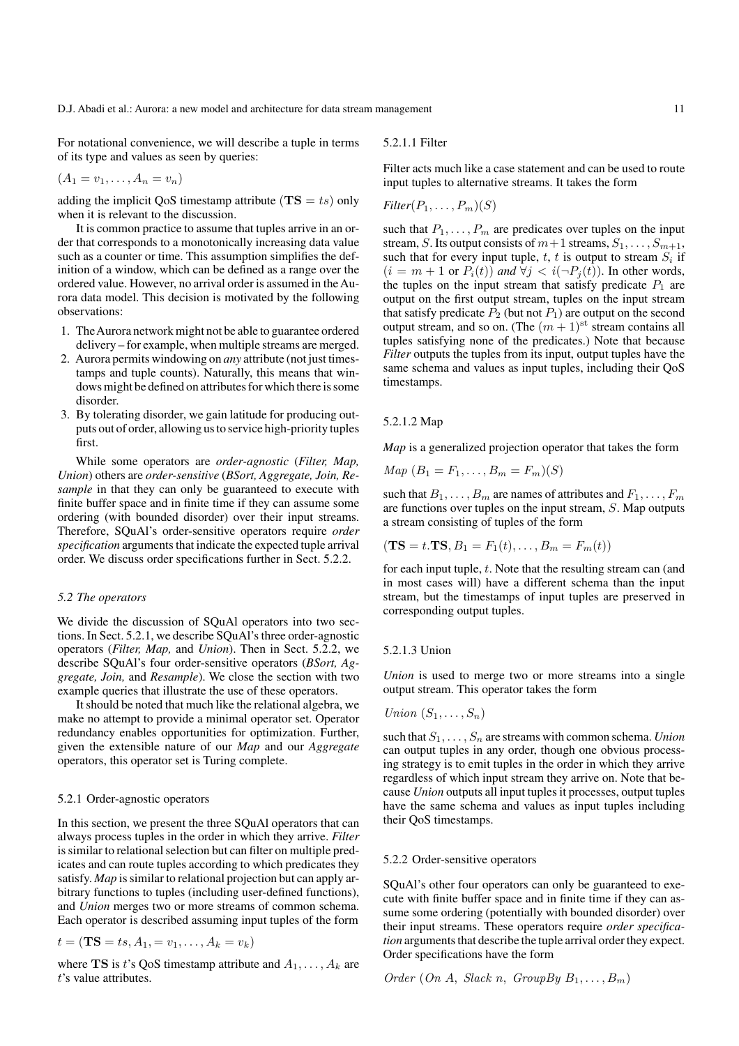For notational convenience, we will describe a tuple in terms of its type and values as seen by queries:

$$
(A_1=v_1,\ldots,A_n=v_n)
$$

adding the implicit QoS timestamp attribute  $(TS = ts)$  only when it is relevant to the discussion.

It is common practice to assume that tuples arrive in an order that corresponds to a monotonically increasing data value such as a counter or time. This assumption simplifies the definition of a window, which can be defined as a range over the ordered value.However, no arrival order is assumed in the Aurora data model.This decision is motivated by the following observations:

- 1.TheAurora network might not be able to guarantee ordered delivery – for example, when multiple streams are merged.
- 2.Aurora permits windowing on *any* attribute (not just timestamps and tuple counts). Naturally, this means that windows might be defined on attributes for which there is some disorder.
- 3.By tolerating disorder, we gain latitude for producing outputs out of order, allowing us to service high-priority tuples first.

While some operators are *order-agnostic* (*Filter, Map, Union*) others are *order-sensitive* (*BSort, Aggregate, Join, Resample* in that they can only be guaranteed to execute with finite buffer space and in finite time if they can assume some ordering (with bounded disorder) over their input streams. Therefore, SQuAl's order-sensitive operators require *order specification* arguments that indicate the expected tuple arrival order. We discuss order specifications further in Sect. 5.2.2.

#### *5.2 The operators*

We divide the discussion of SQuAl operators into two sections.In Sect.5.2.1, we describe SQuAl's three order-agnostic operators (*Filter, Map,* and *Union*). Then in Sect. 5.2.2, we describe SQuAl's four order-sensitive operators (*BSort, Aggregate, Join,* and *Resample*).We close the section with two example queries that illustrate the use of these operators.

It should be noted that much like the relational algebra, we make no attempt to provide a minimal operator set. Operator redundancy enables opportunities for optimization. Further, given the extensible nature of our *Map* and our *Aggregate* operators, this operator set is Turing complete.

## 5.2.1 Order-agnostic operators

In this section, we present the three SQuAl operators that can always process tuples in the order in which they arrive. *Filter* is similar to relational selection but can filter on multiple predicates and can route tuples according to which predicates they satisfy. *Map* is similar to relational projection but can apply arbitrary functions to tuples (including user-defined functions), and *Union* merges two or more streams of common schema. Each operator is described assuming input tuples of the form

$$
t = (\mathbf{TS} = ts, A_1, = v_1, \dots, A_k = v_k)
$$

where **TS** is t's QoS timestamp attribute and  $A_1, \ldots, A_k$  are t's value attributes.

# 5.2.1.1 Filter

Filter acts much like a case statement and can be used to route input tuples to alternative streams.It takes the form

$$
Filter(P_1, \ldots, P_m)(S)
$$

such that  $P_1, \ldots, P_m$  are predicates over tuples on the input stream, S. Its output consists of  $m+1$  streams,  $S_1, \ldots, S_{m+1}$ , such that for every input tuple,  $t$ ,  $t$  is output to stream  $S_i$  if  $(i = m + 1 \text{ or } P_i(t))$  *and*  $\forall j < i(\neg P_i(t))$ . In other words, the tuples on the input stream that satisfy predicate  $P_1$  are output on the first output stream, tuples on the input stream that satisfy predicate  $P_2$  (but not  $P_1$ ) are output on the second output stream, and so on. (The  $(m + 1)$ <sup>st</sup> stream contains all tuples satisfying none of the predicates.) Note that because *Filter* outputs the tuples from its input, output tuples have the same schema and values as input tuples, including their QoS timestamps.

## 5.2.1.2 Map

*Map* is a generalized projection operator that takes the form

$$
Map (B_1 = F_1, \ldots, B_m = F_m)(S)
$$

such that  $B_1, \ldots, B_m$  are names of attributes and  $F_1, \ldots, F_m$ are functions over tuples on the input stream, S.Map outputs a stream consisting of tuples of the form

$$
(\mathbf{TS}=t.\mathbf{TS},B_1=F_1(t),\ldots,B_m=F_m(t))
$$

for each input tuple,  $t$ . Note that the resulting stream can (and in most cases will) have a different schema than the input stream, but the timestamps of input tuples are preserved in corresponding output tuples.

# 5.2.1.3 Union

*Union* is used to merge two or more streams into a single output stream.This operator takes the form

$$
Union (S_1, \ldots, S_n)
$$

such that  $S_1, \ldots, S_n$  are streams with common schema. *Union* can output tuples in any order, though one obvious processing strategy is to emit tuples in the order in which they arrive regardless of which input stream they arrive on. Note that because *Union* outputs all input tuples it processes, output tuples have the same schema and values as input tuples including their QoS timestamps.

### 5.2.2 Order-sensitive operators

SQuAl's other four operators can only be guaranteed to execute with finite buffer space and in finite time if they can assume some ordering (potentially with bounded disorder) over their input streams.These operators require *order specification* arguments that describe the tuple arrival order they expect. Order specifications have the form

Order (On A, Slack n, GroupBy  $B_1, \ldots, B_m$ )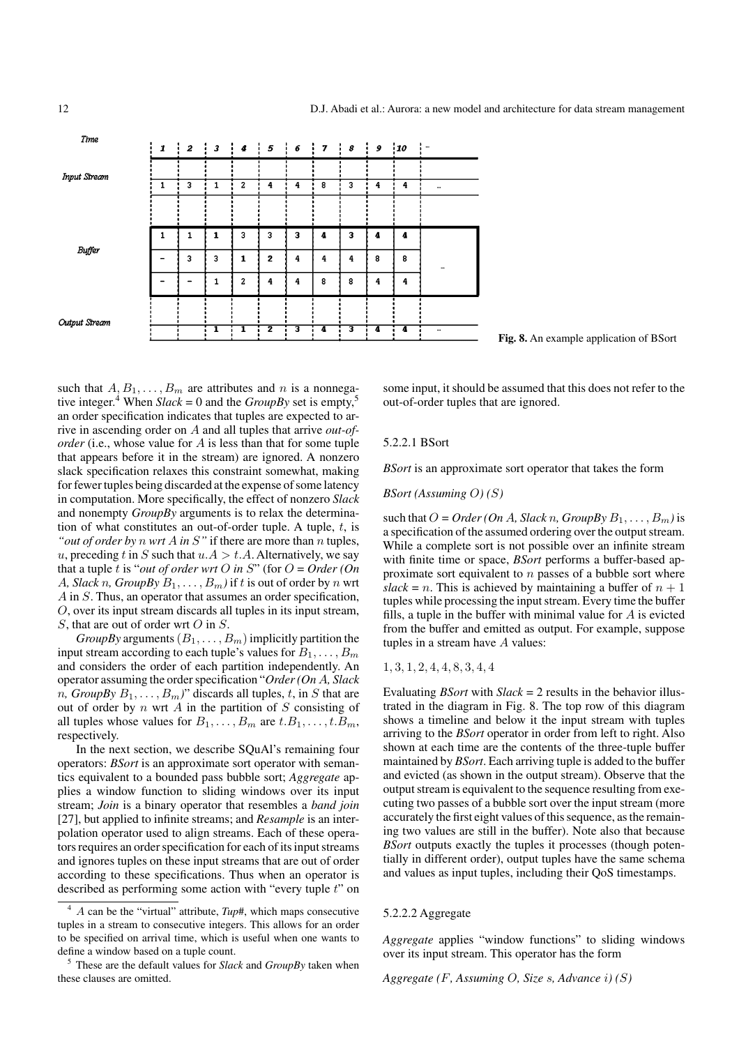| 1 ime                | $\mathbf{I}$ | ÷<br>к.<br>$\mathbf{z}$ | $\mathbf{3}$ | ÷<br>4 | 5                       | $6 \frac{1}{2}$ | $\overline{7}$ | 8 | ÷<br>9 | $\frac{1}{2}$ | $\cdots$ |
|----------------------|--------------|-------------------------|--------------|--------|-------------------------|-----------------|----------------|---|--------|---------------|----------|
| <b>Input Stream</b>  |              |                         |              |        |                         |                 |                |   |        |               |          |
|                      | 1            | 3                       | 1            | 2      | 4                       | 4               | 8              | 3 | 4      | 4             | $\cdots$ |
|                      |              |                         |              |        |                         |                 |                |   |        |               |          |
|                      |              |                         |              |        |                         |                 |                |   |        |               |          |
|                      | 1            | 1                       | 1            | 3      | 3                       | э               | 4              | 3 | 4      | 4             |          |
| Buffer               | -            | 3                       | 3            | 1      | $\mathbf{2}$            | 4               | 4              | 4 | 8      | 8             | $\cdots$ |
|                      |              |                         | 1            | 2      | 4                       | 4               | 8              | 8 | 4      | 4             |          |
|                      |              |                         |              |        |                         |                 |                |   |        |               |          |
| <b>Output Stream</b> |              |                         |              |        | $\overline{\mathbf{2}}$ | 3               | 4              | 3 | 4      | 4             | $\cdots$ |
|                      |              |                         |              |        |                         |                 |                |   |        |               |          |



such that  $A, B_1, \ldots, B_m$  are attributes and n is a nonnegative integer.<sup>4</sup> When  $Slack = 0$  and the *GroupBy* set is empty,<sup>5</sup> an order specification indicates that tuples are expected to arrive in ascending order on A and all tuples that arrive *out-oforder* (i.e., whose value for A is less than that for some tuple that appears before it in the stream) are ignored.A nonzero slack specification relaxes this constraint somewhat, making for fewer tuples being discarded at the expense of some latency in computation.More specifically, the effect of nonzero *Slack* and nonempty *GroupBy* arguments is to relax the determination of what constitutes an out-of-order tuple. A tuple,  $t$ , is *"out of order by* n *wrt* A *in* S*"* if there are more than n tuples, u, preceding t in S such that  $u.A > t.A$ . Alternatively, we say that a tuple t is "*out of order wrt*  $O$  *in*  $S$ " (for  $O = Order (On$ A, Slack n, GroupBy  $B_1, \ldots, B_m$  if t is out of order by n wrt A in S. Thus, an operator that assumes an order specification, O, over its input stream discards all tuples in its input stream, S, that are out of order wrt O in S.

*GroupBy* arguments  $(B_1, \ldots, B_m)$  implicitly partition the input stream according to each tuple's values for  $B_1, \ldots, B_m$ and considers the order of each partition independently.An operator assuming the order specification "*Order (On* A*, Slack n*, *GroupBy*  $B_1, \ldots, B_m$ *)*" discards all tuples, t, in *S* that are out of order by  $n$  wrt  $A$  in the partition of  $S$  consisting of all tuples whose values for  $B_1, \ldots, B_m$  are  $t.B_1, \ldots, t.B_m$ , respectively.

In the next section, we describe SQuAl's remaining four operators: *BSort* is an approximate sort operator with semantics equivalent to a bounded pass bubble sort; *Aggregate* applies a window function to sliding windows over its input stream; *Join* is a binary operator that resembles a *band join* [27], but applied to infinite streams; and *Resample* is an interpolation operator used to align streams.Each of these operators requires an order specification for each of its input streams and ignores tuples on these input streams that are out of order according to these specifications.Thus when an operator is described as performing some action with "every tuple t" on some input, it should be assumed that this does not refer to the out-of-order tuples that are ignored.

# 5.2.2.1 BSort

*BSort* is an approximate sort operator that takes the form

## *BSort (Assuming* O*) (*S*)*

such that  $O = Order (On A, Black n, Group By B<sub>1</sub>,...,B<sub>m</sub>)$  is a specification of the assumed ordering over the output stream. While a complete sort is not possible over an infinite stream with finite time or space, *BSort* performs a buffer-based approximate sort equivalent to  $n$  passes of a bubble sort where  $slack = n$ . This is achieved by maintaining a buffer of  $n + 1$ tuples while processing the input stream.Every time the buffer fills, a tuple in the buffer with minimal value for  $A$  is evicted from the buffer and emitted as output. For example, suppose tuples in a stream have A values:

#### 1, 3, 1, 2, 4, 4, 8, 3, 4, 4

Evaluating *BSort* with *Slack* = 2 results in the behavior illustrated in the diagram in Fig.8.The top row of this diagram shows a timeline and below it the input stream with tuples arriving to the *BSort* operator in order from left to right.Also shown at each time are the contents of the three-tuple buffer maintained by *BSort*.Each arriving tuple is added to the buffer and evicted (as shown in the output stream). Observe that the output stream is equivalent to the sequence resulting from executing two passes of a bubble sort over the input stream (more accurately the first eight values of this sequence, as the remaining two values are still in the buffer). Note also that because *BSort* outputs exactly the tuples it processes (though potentially in different order), output tuples have the same schema and values as input tuples, including their QoS timestamps.

#### 5.2.2.2 Aggregate

*Aggregate* applies "window functions" to sliding windows over its input stream.This operator has the form

*Aggregate (*F*, Assuming* O*, Size* s*, Advance* i*) (*S*)*

<sup>4</sup> A can be the "virtual" attribute, *Tup*#, which maps consecutive tuples in a stream to consecutive integers.This allows for an order to be specified on arrival time, which is useful when one wants to define a window based on a tuple count.

<sup>5</sup> These are the default values for *Slack* and *GroupBy* taken when these clauses are omitted.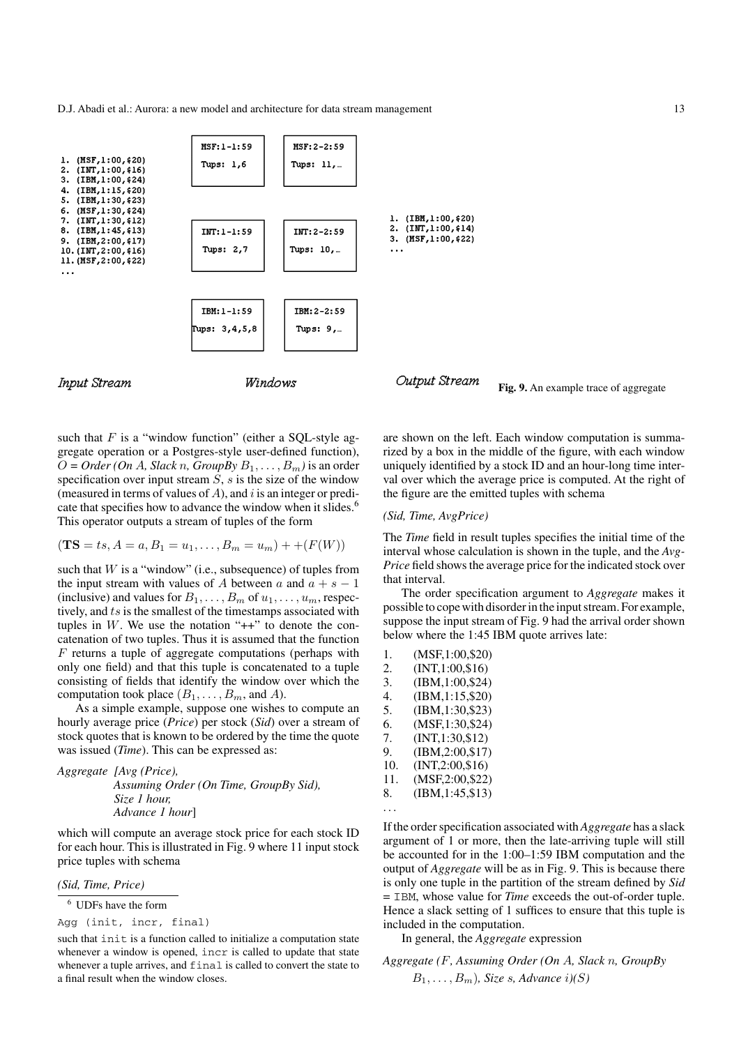D.J. Abadi et al.: Aurora: a new model and architecture for data stream management 13



**Fig. 9.** An example trace of aggregate

such that  $F$  is a "window function" (either a SOL-style aggregate operation or a Postgres-style user-defined function),  $O = Order (On A, Black n, GroupBy  $B_1, \ldots, B_m$ )$  is an order specification over input stream  $S$ , s is the size of the window (measured in terms of values of  $A$ ), and i is an integer or predicate that specifies how to advance the window when it slides.<sup>6</sup> This operator outputs a stream of tuples of the form

$$
(\mathbf{TS} = ts, A = a, B_1 = u_1, \dots, B_m = u_m) + (F(W))
$$

such that  $W$  is a "window" (i.e., subsequence) of tuples from the input stream with values of A between a and  $a + s - 1$ (inclusive) and values for  $B_1, \ldots, B_m$  of  $u_1, \ldots, u_m$ , respectively, and  $ts$  is the smallest of the timestamps associated with tuples in  $W$ . We use the notation "++" to denote the concatenation of two tuples.Thus it is assumed that the function  $F$  returns a tuple of aggregate computations (perhaps with only one field) and that this tuple is concatenated to a tuple consisting of fields that identify the window over which the computation took place  $(B_1, \ldots, B_m, \text{ and } A)$ .

As a simple example, suppose one wishes to compute an hourly average price (*Price*) per stock (*Sid*) over a stream of stock quotes that is known to be ordered by the time the quote was issued (*Time*). This can be expressed as:

```
Aggregate [Avg (Price),
AssumingOrder (On Time, GroupBy Sid),
Size 1 hour,
Advance 1 hour]
```
which will compute an average stock price for each stock ID for each hour. This is illustrated in Fig. 9 where 11 input stock price tuples with schema

*(Sid, Time, Price)*

<sup>6</sup> UDFs have the form

Agg (init, incr, final)

such that init is a function called to initialize a computation state whenever a window is opened, incr is called to update that state whenever a tuple arrives, and final is called to convert the state to a final result when the window closes.

are shown on the left. Each window computation is summarized by a box in the middle of the figure, with each window uniquely identified by a stock ID and an hour-long time interval over which the average price is computed.At the right of the figure are the emitted tuples with schema

# *(Sid, Time, AvgPrice)*

The *Time* field in result tuples specifies the initial time of the interval whose calculation is shown in the tuple, and the *Avg-Price* field shows the average price for the indicated stock over that interval.

The order specification argument to *Aggregate* makes it possible to cope with disorder in the input stream.For example, suppose the input stream of Fig. 9 had the arrival order shown below where the 1:45 IBM quote arrives late:

| 1.  | (MSF, 1:00, \$20) |
|-----|-------------------|
| 2.  | (INT, 1:00, \$16) |
| 3.  | (IBM, 1:00, \$24) |
| 4.  | (IBM, 1:15, \$20) |
| 5.  | (IBM, 1:30, \$23) |
| 6.  | (MSF, 1:30, \$24) |
| 7.  | (INT, 1:30, \$12) |
| 9.  | (IBM, 2:00, \$17) |
| 10. | (INT, 2:00, \$16) |
| 11. | (MSF, 2:00, \$22) |
| 8.  | (IBM, 1:45, \$13) |

| on, | u |  |
|-----|---|--|

If the order specification associated with *Aggregate* has a slack argument of 1 or more, then the late-arriving tuple will still be accounted for in the 1:00–1:59 IBM computation and the output of *Aggregate* will be as in Fig.9.This is because there is only one tuple in the partition of the stream defined by *Sid* = IBM, whose value for *Time* exceeds the out-of-order tuple. Hence a slack setting of 1 suffices to ensure that this tuple is included in the computation.

In general, the *Aggregate* expression

*Aggregate (*F*, AssumingOrder (On* A*, Slack* n*, GroupBy*

 $B_1, \ldots, B_m$ *), Size s, Advance i* $)(S)$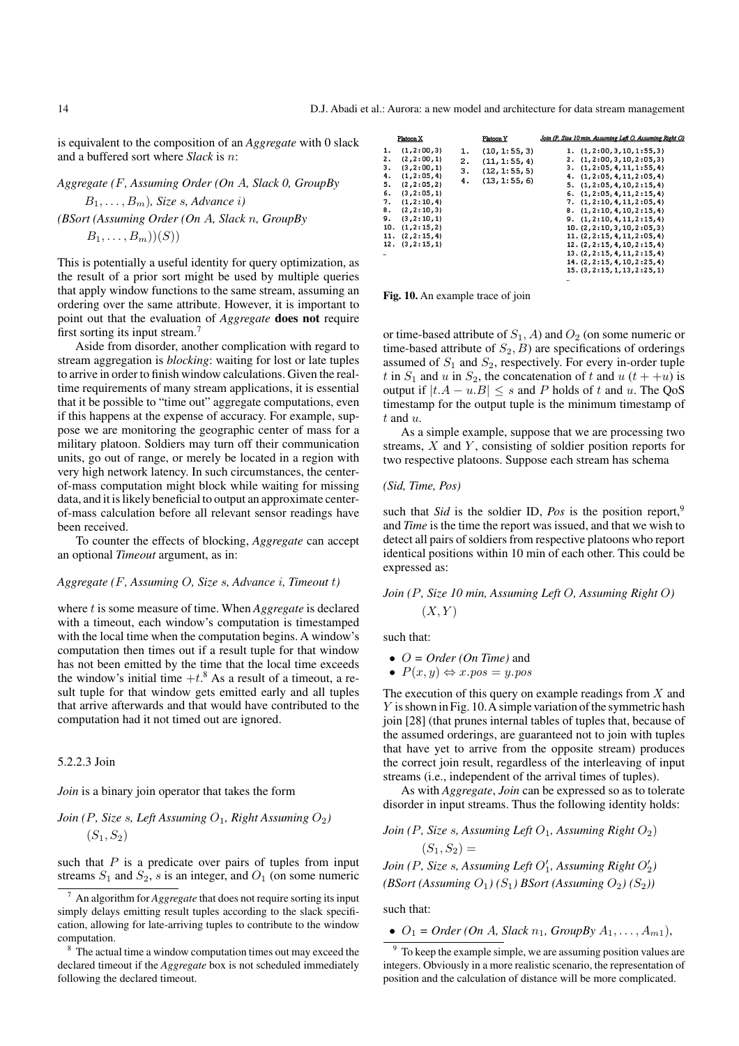is equivalent to the composition of an *Aggregate* with 0 slack and a buffered sort where *Slack* is n:

*Aggregate (*F*, AssumingOrder (On* A*, Slack 0, GroupBy* B1,...,Bm)*, Size* s*, Advance* i*) (BSort (AssumingOrder (On* A*, Slack* n*, GroupBy*  $B_1, \ldots, B_m)(S)$ 

This is potentially a useful identity for query optimization, as the result of a prior sort might be used by multiple queries that apply window functions to the same stream, assuming an ordering over the same attribute.However, it is important to point out that the evaluation of *Aggregate* **does not** require first sorting its input stream.<sup>7</sup>

Aside from disorder, another complication with regard to stream aggregation is *blocking*: waiting for lost or late tuples to arrive in order to finish window calculations.Given the realtime requirements of many stream applications, it is essential that it be possible to "time out" aggregate computations, even if this happens at the expense of accuracy.For example, suppose we are monitoring the geographic center of mass for a military platoon. Soldiers may turn off their communication units, go out of range, or merely be located in a region with very high network latency.In such circumstances, the centerof-mass computation might block while waiting for missing data, and it is likely beneficial to output an approximate centerof-mass calculation before all relevant sensor readings have been received.

To counter the effects of blocking, *Aggregate* can accept an optional *Timeout* argument, as in:

# *Aggregate (*F*, Assuming* O*, Size* s*, Advance* i*, Timeout* t*)*

where t is some measure of time.When *Aggregate* is declared with a timeout, each window's computation is timestamped with the local time when the computation begins. A window's computation then times out if a result tuple for that window has not been emitted by the time that the local time exceeds the window's initial time  $+t^8$ . As a result of a timeout, a result tuple for that window gets emitted early and all tuples that arrive afterwards and that would have contributed to the computation had it not timed out are ignored.

5.2.2.3 Join

*Join* is a binary join operator that takes the form

# *Join* (*P*, *Size s*, *Left Assuming*  $O_1$ , *Right Assuming*  $O_2$ )  $(S_1, S_2)$

such that  $P$  is a predicate over pairs of tuples from input streams  $S_1$  and  $S_2$ , s is an integer, and  $O_1$  (on some numeric

| Platoon X                                                                                                                                                                                                                                                              | Platoon Y                                                                                 | Join (P, Size 10 min, Assuming Left O, Assuming Right O)                                                                                                                                                                                                                                                                                                                                                                                                                                                                    |
|------------------------------------------------------------------------------------------------------------------------------------------------------------------------------------------------------------------------------------------------------------------------|-------------------------------------------------------------------------------------------|-----------------------------------------------------------------------------------------------------------------------------------------------------------------------------------------------------------------------------------------------------------------------------------------------------------------------------------------------------------------------------------------------------------------------------------------------------------------------------------------------------------------------------|
| (1, 2: 00.3)<br>1.<br>2.<br>(2, 2:00, 1)<br>(3.2:00.1)<br>з.<br>4.<br>(1, 2: 05, 4)<br>5.<br>(2, 2: 05, 2)<br>6.<br>(3, 2: 05, 1)<br>7.<br>(1, 2: 10, 4)<br>8.<br>(2, 2: 10, 3)<br>9.<br>(3,2:10,1)<br>10.<br>(1, 2: 15, 2)<br>(2, 2: 15.4)<br>11.<br>12. (3, 2: 15.1) | (10, 1; 55, 3)<br>1.<br>2.<br>(11, 1:55, 4)<br>з.<br>(12, 1:55, 5)<br>(13, 1:55, 6)<br>4. | $1.$ $(1.2:00.3.10.1:55.3)$<br>(1, 2: 00, 3, 10, 2: 05, 3)<br>2.<br>(1, 2: 05, 4, 11, 1: 55, 4)<br>з.<br>(1, 2: 05, 4, 11, 2: 05, 4)<br>4.<br>(1, 2: 05, 4, 10, 2: 15, 4)<br>5.<br>$6.$ $(1, 2:05, 4, 11, 2:15, 4)$<br>$7.$ $(1, 2:10, 4, 11, 2:05, 4)$<br>$8.$ (1, 2:10, 4, 10, 2:15, 4)<br>$9.$ $(1, 2: 10, 4, 11, 2: 15, 4)$<br>10. (2, 2:10, 3, 10, 2:05, 3)<br>11. (2, 2:15, 4, 11, 2:05, 4)<br>12. (2.2:15.4.10.2:15.4)<br>13. (2, 2:15, 4, 11, 2:15, 4)<br>14. (2.2:15.4.10.2:25.4)<br>15. (3, 2:15, 1, 13, 2:25, 1) |

**Fig. 10.** An example trace of join

or time-based attribute of  $S_1$ , A) and  $O_2$  (on some numeric or time-based attribute of  $S_2$ ,  $B$ ) are specifications of orderings assumed of  $S_1$  and  $S_2$ , respectively. For every in-order tuple t in  $S_1$  and u in  $S_2$ , the concatenation of t and u  $(t + +u)$  is output if  $|t.A - u.B| \leq s$  and P holds of t and u. The QoS timestamp for the output tuple is the minimum timestamp of  $t$  and  $u$ .

As a simple example, suppose that we are processing two streams,  $X$  and  $Y$ , consisting of soldier position reports for two respective platoons. Suppose each stream has schema

#### *(Sid, Time, Pos)*

such that *Sid* is the soldier ID, *Pos* is the position report,<sup>9</sup> and *Time* is the time the report was issued, and that we wish to detect all pairs of soldiers from respective platoons who report identical positions within 10 min of each other.This could be expressed as:

# *Join* (*P*, *Size* 10 min, Assuming Left O, Assuming Right O)  $(X, Y)$

such that:

- O *= Order (On Time)* and
- $P(x, y) \Leftrightarrow x.\textit{pos} = y.\textit{pos}$

The execution of this query on example readings from  $X$  and  $Y$  is shown in Fig. 10. A simple variation of the symmetric hash join [28] (that prunes internal tables of tuples that, because of the assumed orderings, are guaranteed not to join with tuples that have yet to arrive from the opposite stream) produces the correct join result, regardless of the interleaving of input streams (i.e., independent of the arrival times of tuples).

As with *Aggregate*, *Join* can be expressed so as to tolerate disorder in input streams.Thus the following identity holds:

Join (P, Size s, Assuming Left 
$$
O_1
$$
, Assuming Right  $O_2$ )  
 $(S_1, S_2)$  =

*Join* (P, Size s, Assuming Left  $O'_{1}$ , Assuming Right  $O'_{2}$ ) *(BSort (Assuming*  $O_1$ *) (S<sub>1</sub>) BSort (Assuming*  $O_2$ *) (S<sub>2</sub>))* 

such that:

•  $O_1$  = Order (On A, Slack  $n_1$ , GroupBy  $A_1, \ldots, A_{m1}$ ),

<sup>9</sup> To keep the example simple, we are assuming position values are integers.Obviously in a more realistic scenario, the representation of position and the calculation of distance will be more complicated.

<sup>7</sup> An algorithm for *Aggregate* that does not require sorting its input simply delays emitting result tuples according to the slack specification, allowing for late-arriving tuples to contribute to the window computation.

<sup>8</sup> The actual time a window computation times out may exceed the declared timeout if the *Aggregate* box is not scheduled immediately following the declared timeout.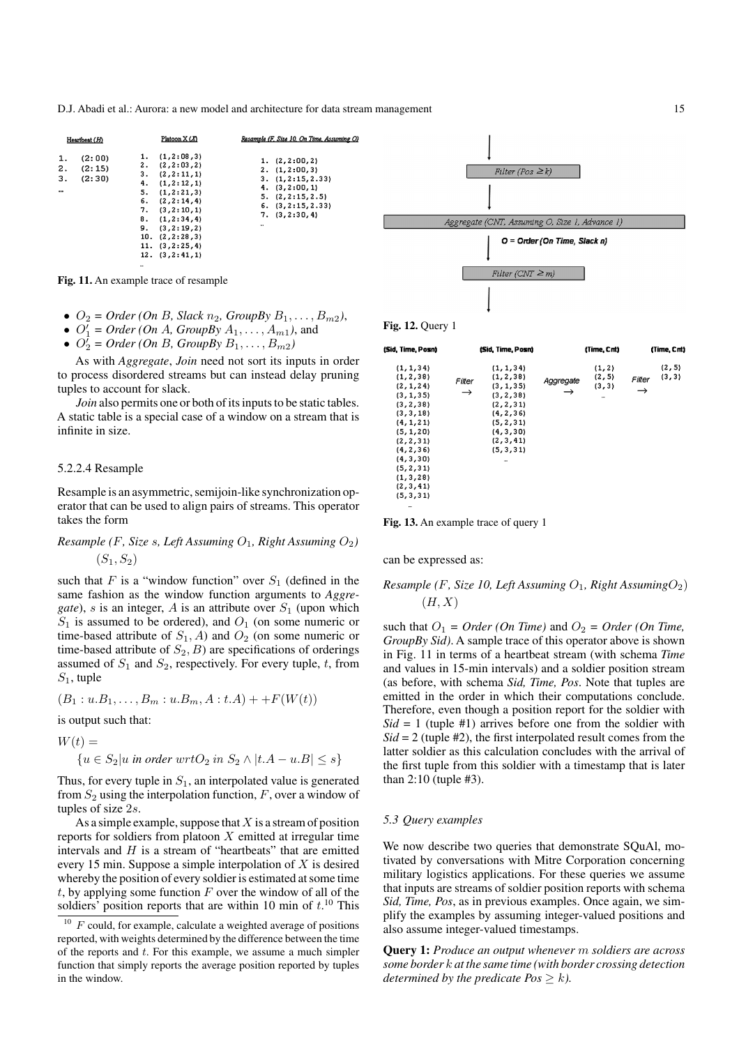| Hearibeat (H)                                            | Platoon $X(X)$                                                                                                                                                                                                                                                         | Resample (F. Size 10, On Time, Assuming O)                                                                                                                             |
|----------------------------------------------------------|------------------------------------------------------------------------------------------------------------------------------------------------------------------------------------------------------------------------------------------------------------------------|------------------------------------------------------------------------------------------------------------------------------------------------------------------------|
| (2:00)<br>1.<br>(2:15)<br>2.<br>(2:30)<br>з.<br>$\cdots$ | (1, 2: 08, 3)<br>1.<br>(2, 2: 03, 2)<br>2.<br>з.<br>(2, 2: 11, 1)<br>4.<br>(1, 2: 12: 1)<br>5.<br>(1, 2: 21, 3)<br>6.<br>(2, 2: 14.4)<br>$7.$ $(3,2:10,1)$<br>8.<br>(1, 2: 34, 4)<br>9.<br>(3, 2: 19.2)<br>10. (2, 2:28, 3)<br>11. (3.2:25.4)<br>12. (3, 2: 41, 1)<br> | $1. \quad \{2, 2, 00, 2\}$<br>2.11.2:00.31<br>$3. \quad (1,2:15,2.33)$<br>4.13.2:00.11<br>$5. \hspace{2mm} (2, 2:15, 2.5)$<br>6. (3, 2:15, 2.33)<br>7. (3, 2:30.4)<br> |
|                                                          |                                                                                                                                                                                                                                                                        |                                                                                                                                                                        |

**Fig. 11.** An example trace of resample

- $O_2 = Order (On B, Black n_2, Group By B_1, ..., B_{m2}),$
- $O'_1$  = *Order (On A, GroupBy A*<sub>1</sub>*,..., A*<sub>*m*1</sub>*)*, and
- $O'_2$  = *Order* (*On B, GroupBy*  $B_1, ..., B_{m2}$ *)*

As with *Aggregate*, *Join* need not sort its inputs in order to process disordered streams but can instead delay pruning tuples to account for slack.

*Join* also permits one or both of its inputs to be static tables. A static table is a special case of a window on a stream that is infinite in size.

#### 5.2.2.4 Resample

Resample is an asymmetric, semijoin-like synchronization operator that can be used to align pairs of streams.This operator takes the form

*Resample (F, Size s, Left Assuming*  $O_1$ *, Right Assuming*  $O_2$ *)*  $(S_1, S_2)$ 

such that F is a "window function" over  $S_1$  (defined in the same fashion as the window function arguments to *Aggregate*), *s* is an integer, *A* is an attribute over  $S_1$  (upon which  $S_1$  is assumed to be ordered), and  $O_1$  (on some numeric or time-based attribute of  $S_1$ , A) and  $O_2$  (on some numeric or time-based attribute of  $S_2$ ,  $B$ ) are specifications of orderings assumed of  $S_1$  and  $S_2$ , respectively. For every tuple, t, from  $S_1$ , tuple

$$
(B_1: u.B_1, \ldots, B_m: u.B_m, A: t.A) + +F(W(t))
$$

is output such that:

$$
W(t) =
$$
  
{ $u \in S_2 | u$  in order wt  $O_2$  in  $S_2 \wedge |t.A - u.B| \le s$ }

Thus, for every tuple in  $S_1$ , an interpolated value is generated from  $S_2$  using the interpolation function, F, over a window of tuples of size 2s.

As a simple example, suppose that  $X$  is a stream of position reports for soldiers from platoon  $X$  emitted at irregular time intervals and  $H$  is a stream of "heartbeats" that are emitted every 15 min. Suppose a simple interpolation of  $X$  is desired whereby the position of every soldier is estimated at some time  $t$ , by applying some function  $F$  over the window of all of the soldiers' position reports that are within 10 min of  $t$ .<sup>10</sup> This



ţS

| id, Time, Posn)                                                                                                                                                                                        |                         | (Sid, Time, Posn)                                                                                                                          |           | (Time, Cnt)               |                         | (Time, Cnt)     |
|--------------------------------------------------------------------------------------------------------------------------------------------------------------------------------------------------------|-------------------------|--------------------------------------------------------------------------------------------------------------------------------------------|-----------|---------------------------|-------------------------|-----------------|
| (1, 1, 34)<br>(1, 2, 38)<br>(2, 1, 24)<br>(3, 1, 35)<br>(3, 2, 38)<br>(3,3,18)<br>(4, 1, 21)<br>(5, 1, 20)<br>(2, 2, 31)<br>(4, 2, 36)<br>(4,3,30)<br>(5, 2, 31)<br>(1, 3, 28)<br>(2,3,41)<br>(5,3,31) | Filter<br>$\rightarrow$ | (1, 1, 34)<br>(1, 2, 38)<br>(3, 1, 35)<br>(3, 2, 38)<br>(2, 2, 31)<br>(4, 2, 36)<br>(5, 2, 31)<br>(4, 3, 30)<br>(2,3,41)<br>(5, 3, 31)<br> | Aggregate | (1, 2)<br>(2, 5)<br>(3,3) | Filter<br>$\rightarrow$ | (2, 5)<br>(3,3) |
|                                                                                                                                                                                                        |                         |                                                                                                                                            |           |                           |                         |                 |

**Fig. 13.** An example trace of query 1

can be expressed as:

# *Resample (F, Size 10, Left Assuming*  $O_1$ *, Right Assuming* $O_2$ )  $(H, X)$

such that  $O_1 = Order (On Time)$  and  $O_2 = Order (On Time)$ *GroupBy Sid)*.A sample trace of this operator above is shown in Fig.11 in terms of a heartbeat stream (with schema *Time* and values in 15-min intervals) and a soldier position stream (as before, with schema *Sid, Time, Pos*. Note that tuples are emitted in the order in which their computations conclude. Therefore, even though a position report for the soldier with  $Sid = 1$  (tuple #1) arrives before one from the soldier with  $Sid = 2$  (tuple  $#2$ ), the first interpolated result comes from the latter soldier as this calculation concludes with the arrival of the first tuple from this soldier with a timestamp that is later than 2:10 (tuple #3).

## *5.3 Query examples*

We now describe two queries that demonstrate SQuAl, motivated by conversations with Mitre Corporation concerning military logistics applications.For these queries we assume that inputs are streams of soldier position reports with schema *Sid, Time, Pos, as in previous examples. Once again, we sim*plify the examples by assuming integer-valued positions and also assume integer-valued timestamps.

**Query 1:** *Produce an output whenever* m *soldiers are across some border* k *at the same time (with border crossingdetection determined by the predicate Pos* ≥ k*).*

 $10$  F could, for example, calculate a weighted average of positions reported, with weights determined by the difference between the time of the reports and  $t$ . For this example, we assume a much simpler function that simply reports the average position reported by tuples in the window.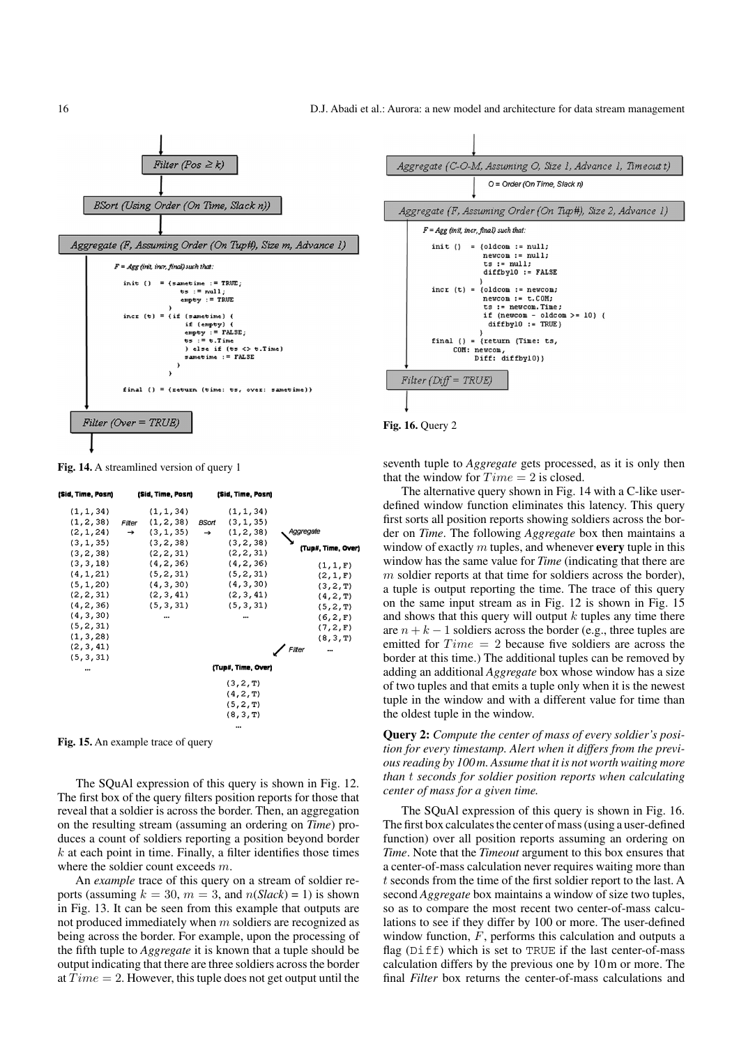

**Fig. 14.** A streamlined version of query 1

| (Sid, Time, Posn)                                                                                                                                              | (Sid, Time, Posn)                                                                                                                                                                  |       | (Sid, Time, Posn)                                                                                                      |                                                                                                                        |
|----------------------------------------------------------------------------------------------------------------------------------------------------------------|------------------------------------------------------------------------------------------------------------------------------------------------------------------------------------|-------|------------------------------------------------------------------------------------------------------------------------|------------------------------------------------------------------------------------------------------------------------|
| (1, 1, 34)<br>(1, 2, 38)<br>(2, 1, 24)<br>(3, 1, 35)<br>(3, 2, 38)<br>(3,3,18)<br>(4.1.21)<br>(5, 1, 20)<br>(2, 2, 31)<br>(4.2.36)<br>(4, 3, 30)<br>(5, 2, 31) | (1, 1, 34)<br>Filter $(1, 2, 38)$<br>$\rightarrow$ (3,1,35) $\rightarrow$ (1,2,38)<br>(3, 2, 38)<br>(2, 2, 31)<br>(4, 2, 36)<br>(5, 2, 31)<br>(4,3,30)<br>(2,3,41)<br>(5.3.31)<br> | BSort | (1, 1, 34)<br>(3, 1, 35)<br>(3.2.38)<br>(2, 2, 31)<br>(4, 2, 36)<br>(5, 2, 31)<br>(4, 3, 30)<br>(2, 3, 41)<br>(5.3.31) | Aggregate<br>(Tup#, Time, Over)<br>(1,1,F)<br>(2,1,F)<br>(3, 2, T)<br>(4, 2, T)<br>(5, 2, T)<br>(6, 2, F)<br>(7, 2, F) |
| (1.3.28)<br>(2,3,41)<br>(5, 3, 31)<br>                                                                                                                         |                                                                                                                                                                                    |       | (Tup#, Time, Over)<br>(3, 2, T)<br>(4, 2, T)<br>(5.2.T)<br>(8.3,T)                                                     | (8, 3, T)<br>Filter                                                                                                    |

**Fig. 15.** An example trace of query

The SQuAl expression of this query is shown in Fig.12. The first box of the query filters position reports for those that reveal that a soldier is across the border.Then, an aggregation on the resulting stream (assuming an ordering on *Time*) produces a count of soldiers reporting a position beyond border  $k$  at each point in time. Finally, a filter identifies those times where the soldier count exceeds m.

An *example* trace of this query on a stream of soldier reports (assuming  $k = 30$ ,  $m = 3$ , and  $n(Slack) = 1$ ) is shown in Fig.13.It can be seen from this example that outputs are not produced immediately when m soldiers are recognized as being across the border. For example, upon the processing of the fifth tuple to *Aggregate* it is known that a tuple should be output indicating that there are three soldiers across the border at  $Time = 2$ . However, this tuple does not get output until the



**Fig. 16.** Query 2

seventh tuple to *Aggregate* gets processed, as it is only then that the window for  $Time = 2$  is closed.

The alternative query shown in Fig. 14 with a C-like userdefined window function eliminates this latency.This query first sorts all position reports showing soldiers across the border on *Time*.The following *Aggregate* box then maintains a window of exactly m tuples, and whenever **every** tuple in this window has the same value for *Time* (indicating that there are  $m$  soldier reports at that time for soldiers across the border), a tuple is output reporting the time.The trace of this query on the same input stream as in Fig.12 is shown in Fig.15 and shows that this query will output  $k$  tuples any time there are  $n + k - 1$  soldiers across the border (e.g., three tuples are emitted for  $Time = 2$  because five soldiers are across the border at this time.) The additional tuples can be removed by adding an additional *Aggregate* box whose window has a size of two tuples and that emits a tuple only when it is the newest tuple in the window and with a different value for time than the oldest tuple in the window.

**Query 2:** *Compute the center of mass of every soldier's position for every timestamp. Alert when it differs from the previous readingby 100m. Assume that it is not worth waitingmore than* t *seconds for soldier position reports when calculating center of mass for a given time.*

The SQuAl expression of this query is shown in Fig.16. The first box calculates the center of mass (using a user-defined function) over all position reports assuming an ordering on *Time*. Note that the *Timeout* argument to this box ensures that a center-of-mass calculation never requires waiting more than t seconds from the time of the first soldier report to the last.A second *Aggregate* box maintains a window of size two tuples, so as to compare the most recent two center-of-mass calculations to see if they differ by 100 or more.The user-defined window function,  $F$ , performs this calculation and outputs a flag (Diff) which is set to TRUE if the last center-of-mass calculation differs by the previous one by 10 m or more.The final *Filter* box returns the center-of-mass calculations and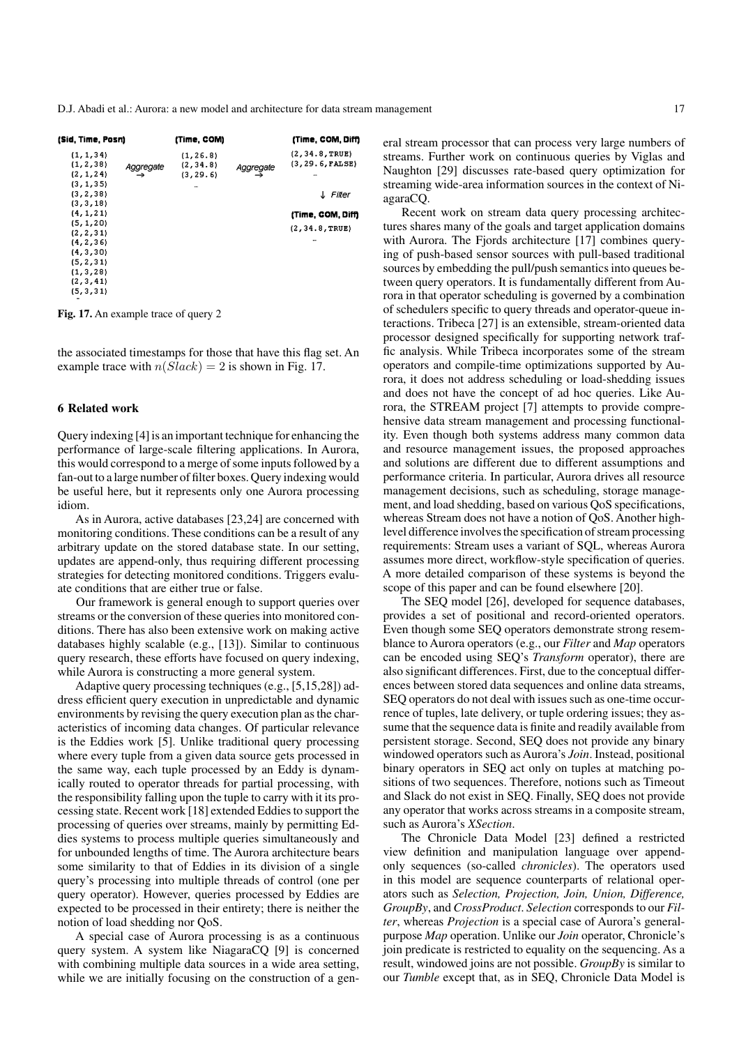| (Sid, Time, Posn)                                  |                | (Time, COM)                          |           | (Time, COM, Diff)                                           |
|----------------------------------------------------|----------------|--------------------------------------|-----------|-------------------------------------------------------------|
| (1, 1, 34)<br>(1, 2, 38)<br>(2, 1, 24)             | Aggregate<br>→ | (1, 26.8)<br>(2, 34.8)<br>(3, 29, 6) | Aggregate | $(2, 34.8, \texttt{TRUE})$<br>$(3, 29.6, \text{FALSE})$<br> |
| (3, 1, 35)<br>(3, 2, 38)<br>(3,3,18)<br>(4, 1, 21) |                |                                      |           | J. Filter                                                   |
| (5, 1, 20)<br>(2, 2, 31)<br>(4, 2, 36)             |                |                                      |           | (Time, COM, Diff)<br>$(2, 34.8, \texttt{TRUE})$<br>         |
| (4,3,30)<br>(5, 2, 31)<br>(1, 3, 28)               |                |                                      |           |                                                             |
| (2,3,41)<br>(5, 3, 31)                             |                |                                      |           |                                                             |

**Fig. 17.** An example trace of query 2

the associated timestamps for those that have this flag set.An example trace with  $n(Slack) = 2$  is shown in Fig. 17.

#### **6 Related work**

Query indexing [4] is an important technique for enhancing the performance of large-scale filtering applications.In Aurora, this would correspond to a merge of some inputs followed by a fan-out to a large number of filter boxes.Query indexing would be useful here, but it represents only one Aurora processing idiom.

As in Aurora, active databases [23,24] are concerned with monitoring conditions.These conditions can be a result of any arbitrary update on the stored database state.In our setting, updates are append-only, thus requiring different processing strategies for detecting monitored conditions.Triggers evaluate conditions that are either true or false.

Our framework is general enough to support queries over streams or the conversion of these queries into monitored conditions.There has also been extensive work on making active databases highly scalable (e.g., [13]). Similar to continuous query research, these efforts have focused on query indexing, while Aurora is constructing a more general system.

Adaptive query processing techniques (e.g., [5,15,28]) address efficient query execution in unpredictable and dynamic environments by revising the query execution plan as the characteristics of incoming data changes.Of particular relevance is the Eddies work [5]. Unlike traditional query processing where every tuple from a given data source gets processed in the same way, each tuple processed by an Eddy is dynamically routed to operator threads for partial processing, with the responsibility falling upon the tuple to carry with it its processing state.Recent work [18] extended Eddies to support the processing of queries over streams, mainly by permitting Eddies systems to process multiple queries simultaneously and for unbounded lengths of time.The Aurora architecture bears some similarity to that of Eddies in its division of a single query's processing into multiple threads of control (one per query operator).However, queries processed by Eddies are expected to be processed in their entirety; there is neither the notion of load shedding nor QoS.

A special case of Aurora processing is as a continuous query system.A system like NiagaraCQ [9] is concerned with combining multiple data sources in a wide area setting. while we are initially focusing on the construction of a general stream processor that can process very large numbers of streams. Further work on continuous queries by Viglas and Naughton [29] discusses rate-based query optimization for streaming wide-area information sources in the context of NiagaraCQ.

Recent work on stream data query processing architectures shares many of the goals and target application domains with Aurora. The Fjords architecture [17] combines querying of push-based sensor sources with pull-based traditional sources by embedding the pull/push semantics into queues between query operators. It is fundamentally different from Aurora in that operator scheduling is governed by a combination of schedulers specific to query threads and operator-queue interactions.Tribeca [27] is an extensible, stream-oriented data processor designed specifically for supporting network traffic analysis.While Tribeca incorporates some of the stream operators and compile-time optimizations supported by Aurora, it does not address scheduling or load-shedding issues and does not have the concept of ad hoc queries.Like Aurora, the STREAM project [7] attempts to provide comprehensive data stream management and processing functionality.Even though both systems address many common data and resource management issues, the proposed approaches and solutions are different due to different assumptions and performance criteria.In particular, Aurora drives all resource management decisions, such as scheduling, storage management, and load shedding, based on various QoS specifications, whereas Stream does not have a notion of QoS. Another highlevel difference involves the specification of stream processing requirements: Stream uses a variant of SQL, whereas Aurora assumes more direct, workflow-style specification of queries. A more detailed comparison of these systems is beyond the scope of this paper and can be found elsewhere [20].

The SEQ model [26], developed for sequence databases, provides a set of positional and record-oriented operators. Even though some SEQ operators demonstrate strong resemblance to Aurora operators (e.g., our *Filter* and *Map* operators can be encoded using SEQ's *Transform* operator), there are also significant differences.First, due to the conceptual differences between stored data sequences and online data streams, SEQ operators do not deal with issues such as one-time occurrence of tuples, late delivery, or tuple ordering issues; they assume that the sequence data is finite and readily available from persistent storage. Second, SEQ does not provide any binary windowed operators such as Aurora's *Join*.Instead, positional binary operators in SEQ act only on tuples at matching positions of two sequences.Therefore, notions such as Timeout and Slack do not exist in SEQ.Finally, SEQ does not provide any operator that works across streams in a composite stream, such as Aurora's *XSection*.

The Chronicle Data Model [23] defined a restricted view definition and manipulation language over appendonly sequences (so-called *chronicles*).The operators used in this model are sequence counterparts of relational operators such as *Selection, Projection, Join, Union, Difference, GroupBy*, and *CrossProduct*. *Selection* corresponds to our *Filter*, whereas *Projection* is a special case of Aurora's generalpurpose *Map* operation.Unlike our *Join* operator, Chronicle's join predicate is restricted to equality on the sequencing.As a result, windowed joins are not possible. *GroupBy* is similar to our *Tumble* except that, as in SEQ, Chronicle Data Model is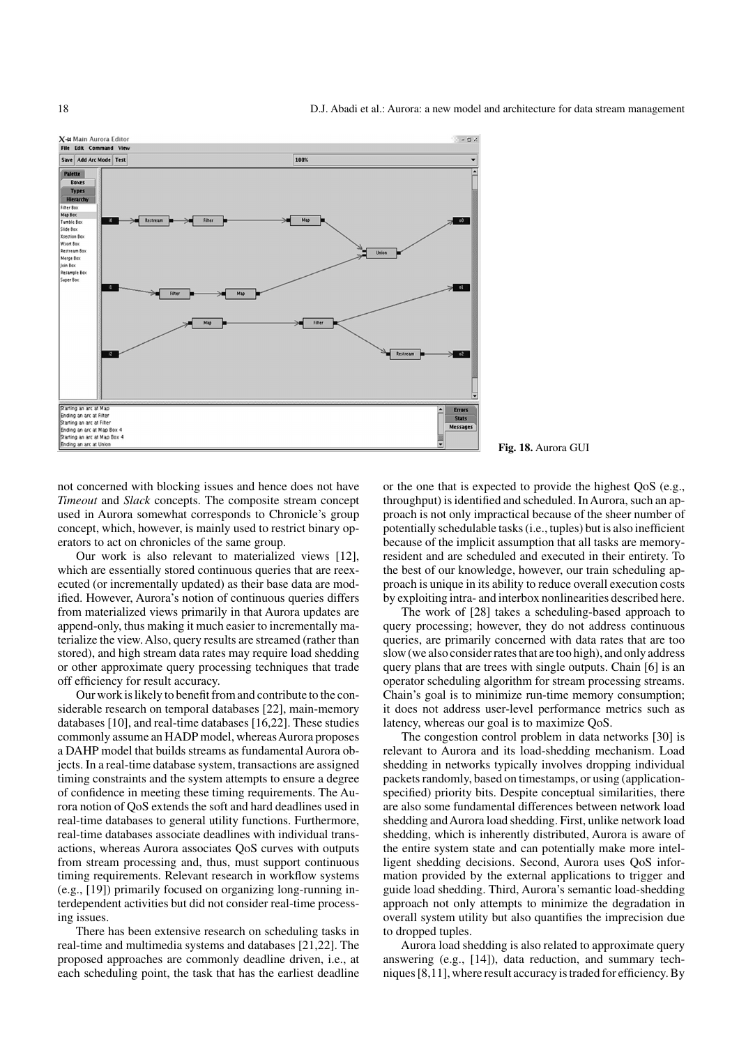

**Fig. 18.** Aurora GUI

not concerned with blocking issues and hence does not have *Timeout* and *Slack* concepts.The composite stream concept used in Aurora somewhat corresponds to Chronicle's group concept, which, however, is mainly used to restrict binary operators to act on chronicles of the same group.

Our work is also relevant to materialized views [12], which are essentially stored continuous queries that are reexecuted (or incrementally updated) as their base data are modified. However, Aurora's notion of continuous queries differs from materialized views primarily in that Aurora updates are append-only, thus making it much easier to incrementally materialize the view.Also, query results are streamed (rather than stored), and high stream data rates may require load shedding or other approximate query processing techniques that trade off efficiency for result accuracy.

Our work is likely to benefit from and contribute to the considerable research on temporal databases [22], main-memory databases [10], and real-time databases [16,22].These studies commonly assume an HADP model, whereas Aurora proposes a DAHP model that builds streams as fundamental Aurora objects.In a real-time database system, transactions are assigned timing constraints and the system attempts to ensure a degree of confidence in meeting these timing requirements.The Aurora notion of QoS extends the soft and hard deadlines used in real-time databases to general utility functions. Furthermore, real-time databases associate deadlines with individual transactions, whereas Aurora associates QoS curves with outputs from stream processing and, thus, must support continuous timing requirements. Relevant research in workflow systems (e.g., [19]) primarily focused on organizing long-running interdependent activities but did not consider real-time processing issues.

There has been extensive research on scheduling tasks in real-time and multimedia systems and databases [21,22].The proposed approaches are commonly deadline driven, i.e., at each scheduling point, the task that has the earliest deadline or the one that is expected to provide the highest QoS (e.g., throughput) is identified and scheduled.In Aurora, such an approach is not only impractical because of the sheer number of potentially schedulable tasks (i.e., tuples) but is also inefficient because of the implicit assumption that all tasks are memoryresident and are scheduled and executed in their entirety.To the best of our knowledge, however, our train scheduling approach is unique in its ability to reduce overall execution costs by exploiting intra- and interbox nonlinearities described here.

The work of [28] takes a scheduling-based approach to query processing; however, they do not address continuous queries, are primarily concerned with data rates that are too slow (we also consider rates that are too high), and only address query plans that are trees with single outputs.Chain [6] is an operator scheduling algorithm for stream processing streams. Chain's goal is to minimize run-time memory consumption; it does not address user-level performance metrics such as latency, whereas our goal is to maximize QoS.

The congestion control problem in data networks [30] is relevant to Aurora and its load-shedding mechanism.Load shedding in networks typically involves dropping individual packets randomly, based on timestamps, or using (applicationspecified) priority bits. Despite conceptual similarities, there are also some fundamental differences between network load shedding and Aurora load shedding. First, unlike network load shedding, which is inherently distributed, Aurora is aware of the entire system state and can potentially make more intelligent shedding decisions. Second, Aurora uses OoS information provided by the external applications to trigger and guide load shedding.Third, Aurora's semantic load-shedding approach not only attempts to minimize the degradation in overall system utility but also quantifies the imprecision due to dropped tuples.

Aurora load shedding is also related to approximate query answering (e.g., [14]), data reduction, and summary techniques [8,11], where result accuracy is traded for efficiency.By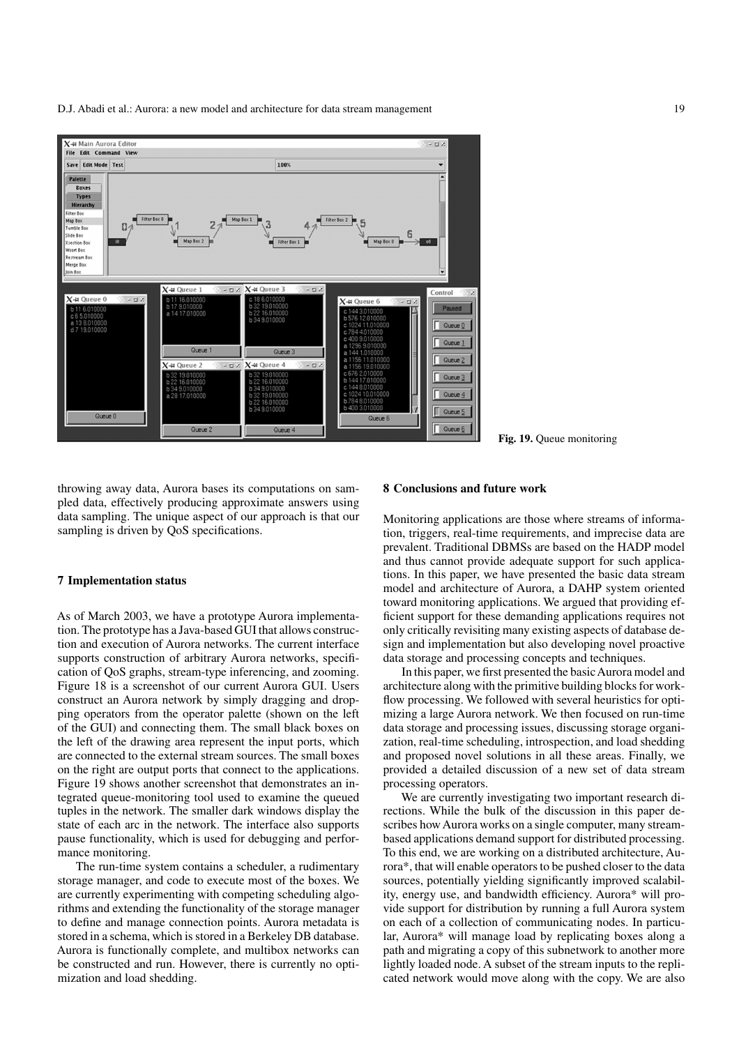

**Fig. 19.** Queue monitoring

throwing away data, Aurora bases its computations on sampled data, effectively producing approximate answers using data sampling.The unique aspect of our approach is that our sampling is driven by QoS specifications.

#### **7 Implementation status**

As of March 2003, we have a prototype Aurora implementation.The prototype has a Java-based GUI that allows construction and execution of Aurora networks.The current interface supports construction of arbitrary Aurora networks, specification of QoS graphs, stream-type inferencing, and zooming. Figure 18 is a screenshot of our current Aurora GUI. Users construct an Aurora network by simply dragging and dropping operators from the operator palette (shown on the left of the GUI) and connecting them.The small black boxes on the left of the drawing area represent the input ports, which are connected to the external stream sources.The small boxes on the right are output ports that connect to the applications. Figure 19 shows another screenshot that demonstrates an integrated queue-monitoring tool used to examine the queued tuples in the network.The smaller dark windows display the state of each arc in the network.The interface also supports pause functionality, which is used for debugging and performance monitoring.

The run-time system contains a scheduler, a rudimentary storage manager, and code to execute most of the boxes.We are currently experimenting with competing scheduling algorithms and extending the functionality of the storage manager to define and manage connection points.Aurora metadata is stored in a schema, which is stored in a Berkeley DB database. Aurora is functionally complete, and multibox networks can be constructed and run. However, there is currently no optimization and load shedding.

# **8 Conclusions and future work**

Monitoring applications are those where streams of information, triggers, real-time requirements, and imprecise data are prevalent.Traditional DBMSs are based on the HADP model and thus cannot provide adequate support for such applications.In this paper, we have presented the basic data stream model and architecture of Aurora, a DAHP system oriented toward monitoring applications.We argued that providing efficient support for these demanding applications requires not only critically revisiting many existing aspects of database design and implementation but also developing novel proactive data storage and processing concepts and techniques.

In this paper, we first presented the basicAurora model and architecture along with the primitive building blocks for workflow processing.We followed with several heuristics for optimizing a large Aurora network.We then focused on run-time data storage and processing issues, discussing storage organization, real-time scheduling, introspection, and load shedding and proposed novel solutions in all these areas.Finally, we provided a detailed discussion of a new set of data stream processing operators.

We are currently investigating two important research directions.While the bulk of the discussion in this paper describes how Aurora works on a single computer, many streambased applications demand support for distributed processing. To this end, we are working on a distributed architecture, Aurora\*, that will enable operators to be pushed closer to the data sources, potentially yielding significantly improved scalability, energy use, and bandwidth efficiency.Aurora\* will provide support for distribution by running a full Aurora system on each of a collection of communicating nodes.In particular, Aurora\* will manage load by replicating boxes along a path and migrating a copy of this subnetwork to another more lightly loaded node. A subset of the stream inputs to the replicated network would move along with the copy.We are also